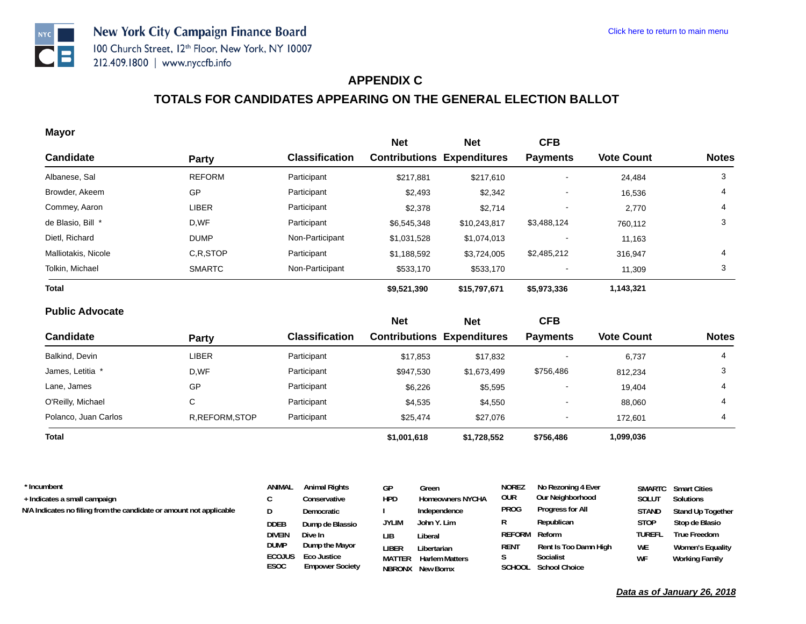

#### **APPENDIX C**

# **TOTALS FOR CANDIDATES APPEARING ON THE GENERAL ELECTION BALLOT**

#### **Mayor**

| $\cdots$ , , , ,    |               |                       | <b>Net</b>                        | <b>Net</b>   | <b>CFB</b>      |                   |              |
|---------------------|---------------|-----------------------|-----------------------------------|--------------|-----------------|-------------------|--------------|
| <b>Candidate</b>    | <b>Party</b>  | <b>Classification</b> | <b>Contributions Expenditures</b> |              | <b>Payments</b> | <b>Vote Count</b> | <b>Notes</b> |
| Albanese, Sal       | <b>REFORM</b> | Participant           | \$217,881                         | \$217,610    |                 | 24,484            | 3            |
| Browder, Akeem      | GP            | Participant           | \$2,493                           | \$2,342      |                 | 16,536            | 4            |
| Commey, Aaron       | <b>LIBER</b>  | Participant           | \$2,378                           | \$2,714      |                 | 2,770             | 4            |
| de Blasio, Bill *   | D,WF          | Participant           | \$6,545,348                       | \$10,243,817 | \$3,488,124     | 760,112           | 3            |
| Dietl, Richard      | <b>DUMP</b>   | Non-Participant       | \$1,031,528                       | \$1,074,013  |                 | 11,163            |              |
| Malliotakis, Nicole | C.R.STOP      | Participant           | \$1,188,592                       | \$3,724,005  | \$2,485,212     | 316,947           | 4            |
| Tolkin, Michael     | <b>SMARTC</b> | Non-Participant       | \$533,170                         | \$533,170    |                 | 11,309            | 3            |
| <b>Total</b>        |               |                       | \$9,521,390                       | \$15,797,671 | \$5,973,336     | 1,143,321         |              |
|                     |               |                       |                                   |              |                 |                   |              |

#### **Public Advocate**

|                      |                 |                       | <b>Net</b>                        | <b>Net</b>  | <b>CFB</b>      |                   |              |
|----------------------|-----------------|-----------------------|-----------------------------------|-------------|-----------------|-------------------|--------------|
| <b>Candidate</b>     | Party           | <b>Classification</b> | <b>Contributions Expenditures</b> |             | <b>Payments</b> | <b>Vote Count</b> | <b>Notes</b> |
| Balkind, Devin       | <b>LIBER</b>    | Participant           | \$17,853                          | \$17,832    |                 | 6,737             | 4            |
| James, Letitia *     | D,WF            | Participant           | \$947,530                         | \$1,673,499 | \$756,486       | 812,234           |              |
| Lane, James          | GP              | Participant           | \$6,226                           | \$5,595     | -               | 19,404            | 4            |
| O'Reilly, Michael    | С               | Participant           | \$4,535                           | \$4,550     | -               | 88,060            | 4            |
| Polanco, Juan Carlos | R, REFORM, STOP | Participant           | \$25,474                          | \$27,076    | -               | 172.601           | 4            |
| Total                |                 |                       | \$1,001,618                       | \$1,728,552 | \$756,486       | 1,099,036         |              |

| * Incumbent                                                         | ANIMAL        | <b>Animal Rights</b> | GP    | Green                   | <b>NOREZ</b> | No Rezoning 4 Ever    |               | <b>SMARTC</b> Smart Cities |
|---------------------------------------------------------------------|---------------|----------------------|-------|-------------------------|--------------|-----------------------|---------------|----------------------------|
| + Indicates a small campaign                                        |               | Conservative         | hpd   | <b>Homeowners NYCHA</b> | OUR          | Our Neighborhood      | SOLUT         | Solutions                  |
| N/A Indicates no filing from the candidate or amount not applicable |               | Democratic           |       | Independence            | <b>PROG</b>  | Progress for All      | <b>STAND</b>  | Stand Up Together          |
|                                                                     | <b>DDEB</b>   | Dump de Blassio      | JYLIM | John Y. Lim             |              | Republican            | <b>STOP</b>   | Stop de Blasio             |
|                                                                     | <b>DIVEIN</b> | Dive In              | LIB   | Liberal                 | REFORM       | Reform                | <b>TUREFL</b> | True Freedom               |
|                                                                     | <b>DUMP</b>   | Dump the Mayor       | LIBER | Libertarian             | <b>RENT</b>  | Rent Is Too Damn High | WE            | <b>Women's Equality</b>    |

**LIBER Libertarian MATTER Harlem MattersNBRONX New Bornx**

**S Socialist SCHOOL School Choice**

**ESOC Empower Society ECOJUS Eco Justice**

**WF Working Family**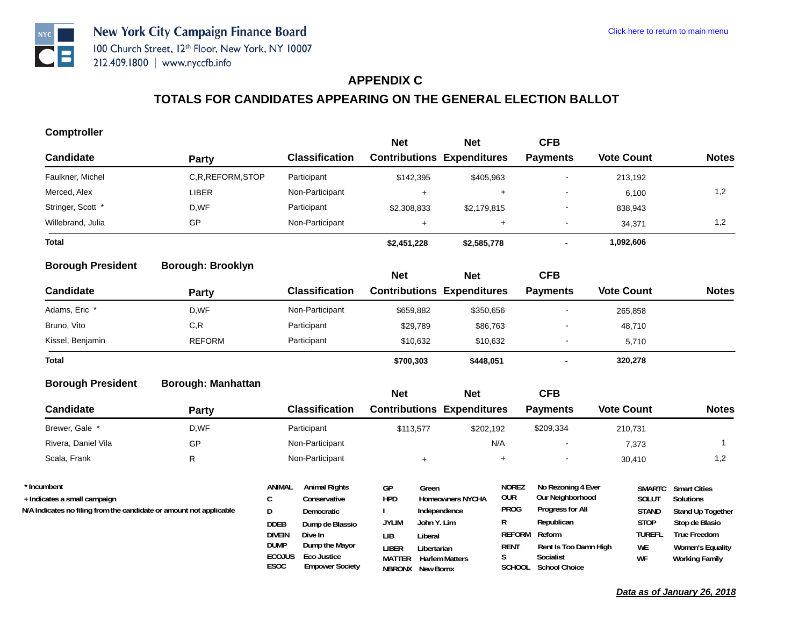

#### **APPENDIX C**

# **TOTALS FOR CANDIDATES APPEARING ON THE GENERAL ELECTION BALLOT**

#### **Comptroller**

|                   |                 |                       | <b>Net</b>                        | <b>Net</b>  | <b>CFB</b>      |                   |              |
|-------------------|-----------------|-----------------------|-----------------------------------|-------------|-----------------|-------------------|--------------|
| <b>Candidate</b>  | Party           | <b>Classification</b> | <b>Contributions Expenditures</b> |             | <b>Payments</b> | <b>Vote Count</b> | <b>Notes</b> |
| Faulkner, Michel  | C.R.REFORM.STOP | Participant           | \$142,395                         | \$405,963   |                 | 213,192           |              |
| Merced, Alex      | LIBER           | Non-Participant       |                                   | ÷           |                 | 6,100             | $\cdot$ .2   |
| Stringer, Scott * | D,WF            | Participant           | \$2,308,833                       | \$2,179,815 |                 | 838,943           |              |
| Willebrand, Julia | GP              | Non-Participant       |                                   | $\pm$       | . .             | 34,371            | 2. ا         |
| <b>Total</b>      |                 |                       | \$2,451,228                       | \$2,585,778 |                 | 1,092,606         |              |

#### **Borough: Brooklyn Borough President**

| ________________ | ______________ |                       | <b>Net</b>                        | <b>Net</b> | <b>CFB</b>               |                   |              |
|------------------|----------------|-----------------------|-----------------------------------|------------|--------------------------|-------------------|--------------|
| Candidate        | Party          | <b>Classification</b> | <b>Contributions Expenditures</b> |            | <b>Payments</b>          | <b>Vote Count</b> | <b>Notes</b> |
| Adams, Eric *    | D,WF           | Non-Participant       | \$659,882                         | \$350,656  | -                        | 265,858           |              |
| Bruno, Vito      | C, R           | Participant           | \$29,789                          | \$86,763   |                          | 48,710            |              |
| Kissel, Benjamin | <b>REFORM</b>  | Participant           | \$10,632                          | \$10,632   |                          | 5.710             |              |
| <b>Total</b>     |                |                       | \$700,303                         | \$448,051  | $\overline{\phantom{a}}$ | 320,278           |              |

#### **Borough: Manhattan Borough President**

|                                                                     |       |                                             |                                                         | <b>Net</b>                       | <b>Net</b>                                        |                                   | CFB                                                        |                               |                                                  |
|---------------------------------------------------------------------|-------|---------------------------------------------|---------------------------------------------------------|----------------------------------|---------------------------------------------------|-----------------------------------|------------------------------------------------------------|-------------------------------|--------------------------------------------------|
| <b>Candidate</b>                                                    | Party |                                             | <b>Classification</b>                                   |                                  | <b>Contributions Expenditures</b>                 |                                   | <b>Payments</b>                                            | <b>Vote Count</b>             | <b>Notes</b>                                     |
| Brewer, Gale *                                                      | D,WF  |                                             | Participant                                             |                                  | \$113.577                                         | \$202,192                         | \$209,334                                                  | 210.731                       |                                                  |
| Rivera, Daniel Vila                                                 | GP    |                                             | Non-Participant                                         |                                  |                                                   | N/A                               |                                                            | 7,373                         |                                                  |
| Scala, Frank                                                        | R     |                                             | Non-Participant                                         |                                  |                                                   | $+$                               |                                                            | 30,410                        | 1,2                                              |
| * Incumbent<br>+ Indicates a small campaign                         |       | ANIMAL<br>C                                 | <b>Animal Rights</b><br>Conservative                    | GP<br><b>HPD</b>                 | Green<br><b>Homeowners NYCHA</b>                  | <b>NOREZ</b><br><b>OUR</b>        | No Rezoning 4 Ever<br>Our Neighborhood                     | <b>SMARTC</b><br><b>SOLUT</b> | <b>Smart Cities</b><br><b>Solutions</b>          |
| N/A Indicates no filing from the candidate or amount not applicable |       | D                                           | Democratic                                              |                                  | Independence                                      | <b>PROG</b><br>R                  | Progress for All<br>Republican                             | <b>STAND</b>                  | <b>Stand Up Together</b>                         |
|                                                                     |       | <b>DDEB</b><br><b>DIVEIN</b>                | Dump de Blassio<br>Dive In                              | <b>JYLIM</b><br>LIB.             | John Y. Lim<br>Liberal                            | <b>REFORM</b>                     | Reform                                                     | <b>STOP</b><br><b>TUREFL</b>  | Stop de Blasio<br>True Freedom                   |
|                                                                     |       | <b>DUMP</b><br><b>ECOJUS</b><br><b>ESOC</b> | Dump the Mayor<br>Eco Justice<br><b>Empower Society</b> | liber<br><b>MATTER</b><br>NBRONX | Libertarian<br><b>Harlem Matters</b><br>New Bornx | <b>RENT</b><br>S<br><b>SCHOOL</b> | Rent Is Too Damn High<br>Socialist<br><b>School Choice</b> | WE<br>WF                      | <b>Women's Equality</b><br><b>Working Family</b> |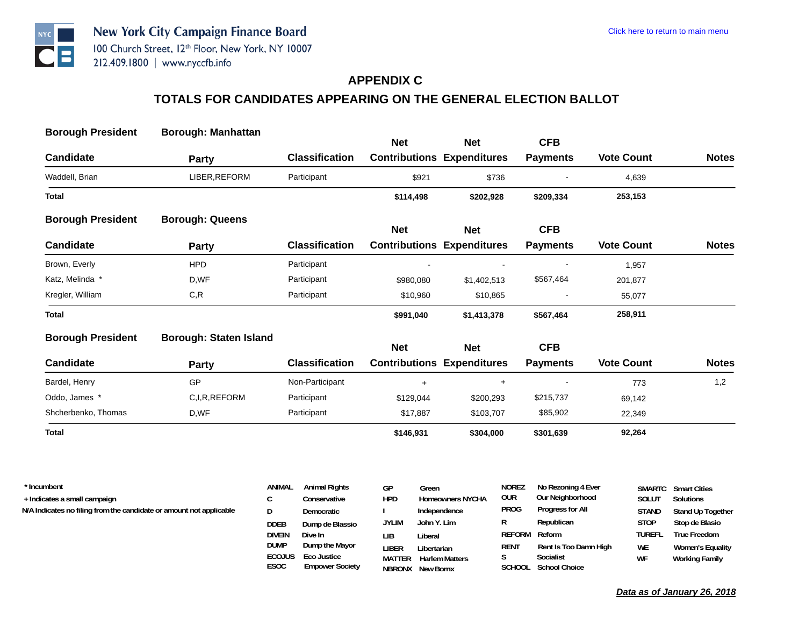

#### **APPENDIX C**

# **TOTALS FOR CANDIDATES APPEARING ON THE GENERAL ELECTION BALLOT**

| <b>Borough President</b> | <b>Borough: Manhattan</b>     |                       | <b>Net</b> | <b>Net</b>                        | <b>CFB</b>      |                   |              |
|--------------------------|-------------------------------|-----------------------|------------|-----------------------------------|-----------------|-------------------|--------------|
| <b>Candidate</b>         | Party                         | <b>Classification</b> |            | <b>Contributions Expenditures</b> | <b>Payments</b> | <b>Vote Count</b> | <b>Notes</b> |
| Waddell, Brian           | LIBER, REFORM                 | Participant           | \$921      | \$736                             |                 | 4,639             |              |
| Total                    |                               |                       | \$114,498  | \$202,928                         | \$209,334       | 253,153           |              |
| <b>Borough President</b> | <b>Borough: Queens</b>        |                       | <b>Net</b> | <b>Net</b>                        | <b>CFB</b>      |                   |              |
| <b>Candidate</b>         | Party                         | <b>Classification</b> |            | <b>Contributions Expenditures</b> | <b>Payments</b> | <b>Vote Count</b> | <b>Notes</b> |
| Brown, Everly            | <b>HPD</b>                    | Participant           |            |                                   |                 | 1,957             |              |
| Katz, Melinda *          | D,WF                          | Participant           | \$980,080  | \$1,402,513                       | \$567,464       | 201,877           |              |
| Kregler, William         | C, R                          | Participant           | \$10,960   | \$10,865                          |                 | 55,077            |              |
| Total                    |                               |                       | \$991,040  | \$1,413,378                       | \$567,464       | 258,911           |              |
| <b>Borough President</b> | <b>Borough: Staten Island</b> |                       | <b>Net</b> | <b>Net</b>                        | <b>CFB</b>      |                   |              |
| <b>Candidate</b>         | <b>Party</b>                  | <b>Classification</b> |            | <b>Contributions Expenditures</b> | <b>Payments</b> | <b>Vote Count</b> | <b>Notes</b> |
| Bardel, Henry            | GP                            | Non-Participant       | $+$        | $+$                               |                 | 773               | 1,2          |
| Oddo, James *            | C,I,R,REFORM                  | Participant           | \$129,044  | \$200,293                         | \$215,737       | 69,142            |              |
| Shcherbenko, Thomas      | D,WF                          | Participant           | \$17,887   | \$103,707                         | \$85,902        | 22,349            |              |
| <b>Total</b>             |                               |                       | \$146,931  | \$304,000                         | \$301,639       | 92,264            |              |
|                          |                               |                       |            |                                   |                 |                   |              |

| * Incumbent                                                         | ANIMAL        | <b>Animal Rights</b> | GР            | Green                   | NOREZ         | No Rezoning 4 Ever    |               | <b>SMARTC</b> Smart Cities |
|---------------------------------------------------------------------|---------------|----------------------|---------------|-------------------------|---------------|-----------------------|---------------|----------------------------|
| + Indicates a small campaign                                        |               | Conservative         | <b>HPD</b>    | <b>Homeowners NYCHA</b> | our           | Our Neighborhood      | <b>SOLUT</b>  | Solutions                  |
| N/A Indicates no filing from the candidate or amount not applicable |               | Democratic           |               | Independence            | PROG          | Progress for All      | <b>STAND</b>  | Stand Up Together          |
|                                                                     | <b>DDEB</b>   | Dump de Blassio      | <b>JYLIM</b>  | John Y. Lim             | R             | Republican            | <b>STOP</b>   | Stop de Blasio             |
|                                                                     | <b>DIVEIN</b> | Dive In              | LІB           | Liberal                 | REFORM Reform |                       | <b>TUREFL</b> | <b>True Freedom</b>        |
|                                                                     | DUMP          | Dump the Mayor       | liber         | Libertarian             | RENT          | Rent Is Too Damn High | <b>WE</b>     | Women's Equality           |
|                                                                     | <b>ECOJUS</b> | Eco Justice          | <b>MATTER</b> | <b>Harlem Matters</b>   |               | Socialist             | WF            | Working Family             |

**NBRONX New Bornx**

**SCHOOL School Choice**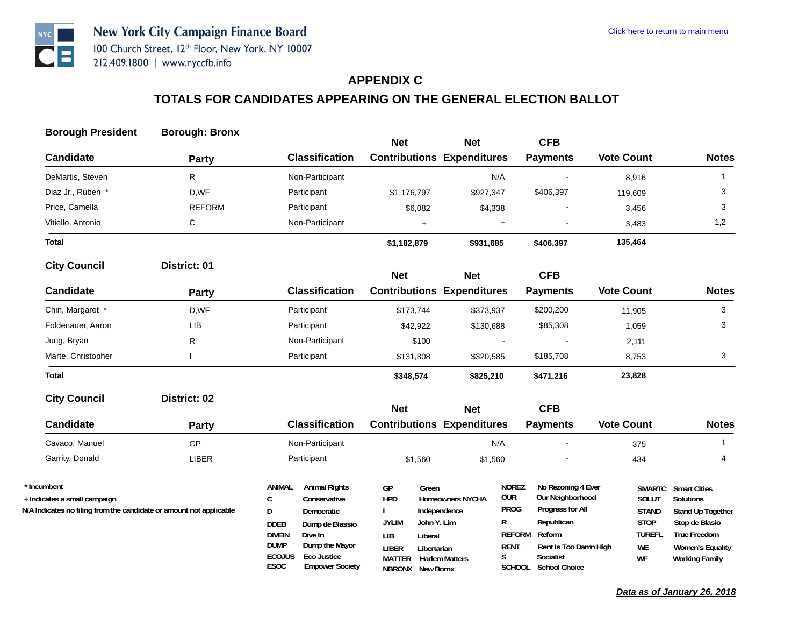## **APPENDIX C**

| <b>Borough President</b>                                            | <b>Borough: Bronx</b> |                                                                |                                                 |                         |                              |                                        |                        |                                                |
|---------------------------------------------------------------------|-----------------------|----------------------------------------------------------------|-------------------------------------------------|-------------------------|------------------------------|----------------------------------------|------------------------|------------------------------------------------|
| <b>Candidate</b>                                                    |                       | <b>Classification</b>                                          | <b>Net</b><br><b>Contributions Expenditures</b> | <b>Net</b>              |                              | <b>CFB</b><br><b>Payments</b>          | <b>Vote Count</b>      | <b>Notes</b>                                   |
|                                                                     | <b>Party</b>          |                                                                |                                                 |                         |                              |                                        |                        |                                                |
| DeMartis, Steven                                                    | R                     | Non-Participant                                                |                                                 | N/A                     |                              |                                        | 8,916                  | $\mathbf{1}$                                   |
| Diaz Jr., Ruben *                                                   | D,WF                  | Participant                                                    | \$1,176,797                                     | \$927,347               |                              | \$406,397                              | 119,609                | 3                                              |
| Price, Camella                                                      | <b>REFORM</b>         | Participant                                                    | \$6,082                                         | \$4,338                 |                              |                                        | 3,456                  | 3                                              |
| Vitiello, Antonio                                                   | С                     | Non-Participant                                                | $+$                                             |                         | $\ddot{}$                    |                                        | 3,483                  | 1,2                                            |
| <b>Total</b>                                                        |                       |                                                                | \$1,182,879                                     | \$931,685               |                              | \$406,397                              | 135,464                |                                                |
| <b>City Council</b>                                                 | District: 01          |                                                                | <b>Net</b>                                      | <b>Net</b>              |                              | <b>CFB</b>                             |                        |                                                |
| <b>Candidate</b>                                                    | <b>Party</b>          | <b>Classification</b>                                          | <b>Contributions Expenditures</b>               |                         |                              | <b>Payments</b>                        | <b>Vote Count</b>      | <b>Notes</b>                                   |
| Chin, Margaret *                                                    | D,WF                  | Participant                                                    | \$173,744                                       | \$373,937               |                              | \$200,200                              | 11,905                 | 3                                              |
| Foldenauer, Aaron                                                   | LIB                   | Participant                                                    | \$42,922                                        | \$130,688               |                              | \$85,308                               | 1,059                  | 3                                              |
| Jung, Bryan                                                         | R                     | Non-Participant                                                | \$100                                           |                         |                              |                                        | 2,111                  |                                                |
| Marte, Christopher                                                  |                       | Participant                                                    | \$131,808                                       | \$320,585               |                              | \$185,708                              | 8,753                  | 3                                              |
| <b>Total</b>                                                        |                       |                                                                | \$348,574                                       | \$825,210               |                              | \$471,216                              | 23,828                 |                                                |
| <b>City Council</b>                                                 | District: 02          |                                                                |                                                 |                         |                              |                                        |                        |                                                |
| <b>Candidate</b>                                                    | Party                 | <b>Classification</b>                                          | <b>Net</b><br><b>Contributions Expenditures</b> | <b>Net</b>              |                              | <b>CFB</b><br><b>Payments</b>          | <b>Vote Count</b>      | <b>Notes</b>                                   |
|                                                                     |                       |                                                                |                                                 |                         |                              |                                        |                        |                                                |
| Cavaco, Manuel                                                      | <b>GP</b>             | Non-Participant                                                |                                                 | N/A                     |                              |                                        | 375                    | $\mathbf{1}$                                   |
| Garrity, Donald                                                     | LIBER                 | Participant                                                    | \$1,560                                         | \$1,560                 |                              |                                        | 434                    | 4                                              |
| * Incumbent<br>+ Indicates a small campaign                         |                       | ANIMAL<br><b>Animal Rights</b><br>$\mathsf{C}$<br>Conservative | GP<br>Green<br><b>HPD</b>                       | <b>Homeowners NYCHA</b> | <b>NOREZ</b><br><b>OUR</b>   | No Rezoning 4 Ever<br>Our Neighborhood | <b>SMARTC</b><br>SOLUT | <b>Smart Cities</b><br><b>Solutions</b>        |
| N/A Indicates no filing from the candidate or amount not applicable |                       | D<br>Democratic                                                |                                                 | Independence            | <b>PROG</b>                  | Progress for All                       | <b>STAND</b>           | Stand Up Together                              |
|                                                                     |                       | <b>DDEB</b><br>Dump de Blassio                                 | <b>JYLIM</b><br>John Y. Lim                     |                         | R                            | Republican                             | <b>STOP</b>            | Stop de Blasio                                 |
|                                                                     |                       | <b>DIVEIN</b><br>Dive In<br><b>DUMP</b><br>Dump the Mayor      | <b>LIB</b><br>Liberal                           |                         | <b>REFORM</b><br><b>RENT</b> | Reform<br>Rent Is Too Damn High        | <b>TUREFL</b><br>WE    | <b>True Freedom</b><br><b>Women's Equality</b> |
|                                                                     |                       | <b>ECOJUS</b><br><b>Eco Justice</b>                            | <b>LIBER</b><br>Libertarian<br>MATTER           | <b>Harlem Matters</b>   | S                            | Socialist                              | WF                     | <b>Working Family</b>                          |
|                                                                     |                       | ESOC<br><b>Empower Society</b>                                 | <b>NBRONX</b> New Bornx                         |                         |                              | SCHOOL School Choice                   |                        |                                                |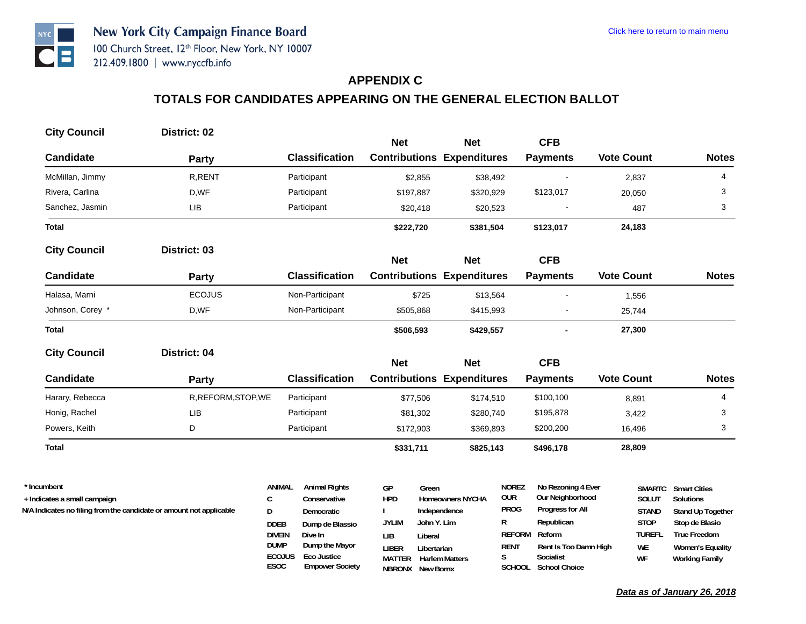## **APPENDIX C**

# **TOTALS FOR CANDIDATES APPEARING ON THE GENERAL ELECTION BALLOT**

| <b>City Council</b>                         | District: 02                                                        |                               |                                      |                  |             |                                   |                            |                                        |                   |                        |                                  |
|---------------------------------------------|---------------------------------------------------------------------|-------------------------------|--------------------------------------|------------------|-------------|-----------------------------------|----------------------------|----------------------------------------|-------------------|------------------------|----------------------------------|
|                                             |                                                                     |                               |                                      | <b>Net</b>       |             | <b>Net</b>                        |                            | <b>CFB</b>                             |                   |                        |                                  |
| <b>Candidate</b>                            | Party                                                               |                               | <b>Classification</b>                |                  |             | <b>Contributions Expenditures</b> |                            | <b>Payments</b>                        | <b>Vote Count</b> |                        | <b>Notes</b>                     |
| McMillan, Jimmy                             | R, RENT                                                             |                               | Participant                          |                  | \$2,855     | \$38,492                          |                            |                                        |                   | 2,837                  | 4                                |
| Rivera, Carlina                             | D,WF                                                                |                               | Participant                          |                  | \$197,887   | \$320,929                         |                            | \$123,017                              |                   | 20,050                 | 3                                |
| Sanchez, Jasmin                             | LIB                                                                 |                               | Participant                          |                  | \$20,418    | \$20,523                          |                            |                                        |                   | 487                    | 3                                |
| <b>Total</b>                                |                                                                     |                               |                                      | \$222,720        |             | \$381,504                         |                            | \$123,017                              |                   | 24,183                 |                                  |
| <b>City Council</b>                         | District: 03                                                        |                               |                                      | <b>Net</b>       |             | <b>Net</b>                        |                            | <b>CFB</b>                             |                   |                        |                                  |
| <b>Candidate</b>                            | <b>Party</b>                                                        |                               | <b>Classification</b>                |                  |             | <b>Contributions Expenditures</b> |                            | <b>Payments</b>                        | <b>Vote Count</b> |                        | <b>Notes</b>                     |
| Halasa, Marni                               | <b>ECOJUS</b>                                                       |                               | Non-Participant                      |                  | \$725       | \$13,564                          |                            |                                        |                   | 1,556                  |                                  |
| Johnson, Corey *                            | D,WF                                                                |                               | Non-Participant                      |                  | \$505,868   | \$415,993                         |                            |                                        |                   | 25,744                 |                                  |
| <b>Total</b>                                |                                                                     |                               |                                      | \$506,593        |             | \$429,557                         |                            |                                        |                   | 27,300                 |                                  |
| <b>City Council</b>                         | District: 04                                                        |                               |                                      |                  |             |                                   |                            |                                        |                   |                        |                                  |
|                                             |                                                                     |                               |                                      | <b>Net</b>       |             | <b>Net</b>                        |                            | <b>CFB</b>                             |                   |                        |                                  |
| <b>Candidate</b>                            | <b>Party</b>                                                        |                               | <b>Classification</b>                |                  |             | <b>Contributions Expenditures</b> |                            | <b>Payments</b>                        | <b>Vote Count</b> |                        | <b>Notes</b>                     |
| Harary, Rebecca                             | R, REFORM, STOP, WE                                                 |                               | Participant                          |                  | \$77,506    | \$174,510                         |                            | \$100,100                              |                   | 8,891                  | 4                                |
| Honig, Rachel                               | <b>LIB</b>                                                          |                               | Participant                          |                  | \$81,302    | \$280,740                         |                            | \$195,878                              |                   | 3,422                  | 3                                |
| Powers, Keith                               | D                                                                   |                               | Participant                          |                  | \$172,903   | \$369,893                         |                            | \$200,200                              |                   | 16,496                 | 3                                |
| <b>Total</b>                                |                                                                     |                               |                                      | \$331,711        |             | \$825,143                         |                            | \$496,178                              |                   | 28,809                 |                                  |
|                                             |                                                                     |                               |                                      |                  |             |                                   |                            |                                        |                   |                        |                                  |
| * Incumbent<br>+ Indicates a small campaign |                                                                     | <b>ANIMAL</b><br>$\mathsf{C}$ | <b>Animal Rights</b><br>Conservative | GP<br><b>HPD</b> | Green       | <b>Homeowners NYCHA</b>           | <b>NOREZ</b><br><b>OUR</b> | No Rezoning 4 Ever<br>Our Neighborhood |                   | <b>SMARTC</b><br>SOLUT | <b>Smart Cities</b><br>Solutions |
|                                             | N/A Indicates no filing from the candidate or amount not applicable | D                             | Democratic                           |                  |             | Independence                      | <b>PROG</b>                | Progress for All                       |                   | <b>STAND</b>           | Stand Up Together                |
|                                             |                                                                     | <b>DDEB</b>                   | Dump de Blassio                      | <b>JYLIM</b>     | John Y. Lim |                                   | R                          | Republican                             |                   | <b>STOP</b>            | Stop de Blasio                   |
|                                             |                                                                     | <b>DIVEIN</b>                 | Dive In                              | LIB              | Liberal     |                                   | <b>REFORM</b>              | Reform                                 |                   | <b>TUREFL</b>          | <b>True Freedom</b>              |
|                                             |                                                                     | <b>DUMP</b>                   | Dump the Mayor                       | <b>LIBER</b>     | Libertarian |                                   | <b>RENT</b>                | Rent Is Too Damn High                  |                   | <b>WE</b>              | <b>Women's Equality</b>          |

**MATTER Harlem Matters NBRONX New Bornx**

**S Socialist SCHOOL School Choice**

**ESOC Empower Society ECOJUS Eco Justice**

**WF Working Family**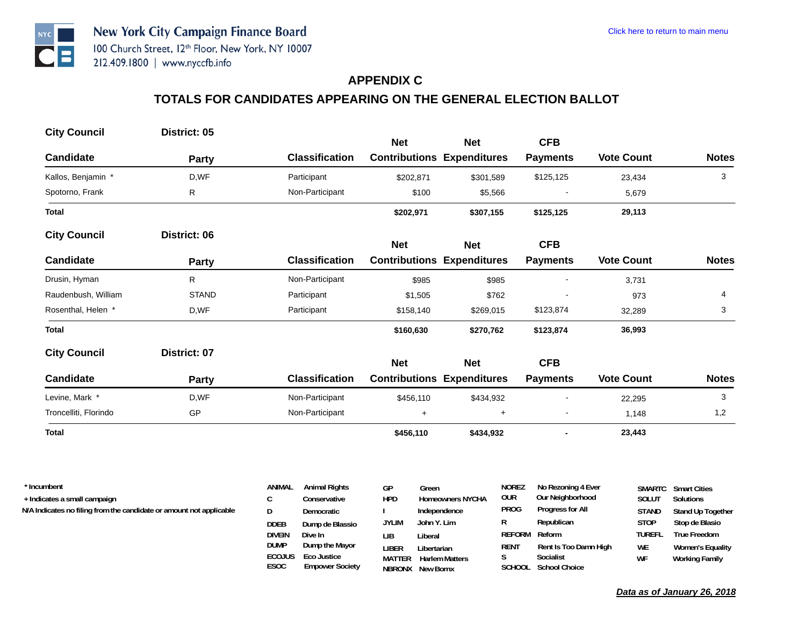### **APPENDIX C**

# **TOTALS FOR CANDIDATES APPEARING ON THE GENERAL ELECTION BALLOT**

| <b>City Council</b>   | District: 05 |                       | <b>Net</b> | <b>Net</b>                        | <b>CFB</b>               |                   |              |
|-----------------------|--------------|-----------------------|------------|-----------------------------------|--------------------------|-------------------|--------------|
|                       |              |                       |            |                                   |                          |                   |              |
| Candidate             | <b>Party</b> | <b>Classification</b> |            | <b>Contributions Expenditures</b> | <b>Payments</b>          | <b>Vote Count</b> | <b>Notes</b> |
| Kallos, Benjamin *    | D,WF         | Participant           | \$202,871  | \$301,589                         | \$125,125                | 23,434            | 3            |
| Spotorno, Frank       | R            | Non-Participant       | \$100      | \$5,566                           |                          | 5,679             |              |
| Total                 |              |                       | \$202,971  | \$307,155                         | \$125,125                | 29,113            |              |
| <b>City Council</b>   | District: 06 |                       |            |                                   |                          |                   |              |
|                       |              |                       | <b>Net</b> | <b>Net</b>                        | <b>CFB</b>               |                   |              |
| <b>Candidate</b>      | <b>Party</b> | <b>Classification</b> |            | <b>Contributions Expenditures</b> | <b>Payments</b>          | <b>Vote Count</b> | <b>Notes</b> |
| Drusin, Hyman         | R            | Non-Participant       | \$985      | \$985                             | $\overline{\phantom{a}}$ | 3,731             |              |
| Raudenbush, William   | <b>STAND</b> | Participant           | \$1,505    | \$762                             |                          | 973               | 4            |
| Rosenthal, Helen *    | D,WF         | Participant           | \$158,140  | \$269,015                         | \$123,874                | 32,289            | 3            |
| Total                 |              |                       | \$160,630  | \$270,762                         | \$123,874                | 36,993            |              |
| <b>City Council</b>   | District: 07 |                       |            |                                   |                          |                   |              |
|                       |              |                       | <b>Net</b> | <b>Net</b>                        | <b>CFB</b>               |                   |              |
| Candidate             | <b>Party</b> | <b>Classification</b> |            | <b>Contributions Expenditures</b> | <b>Payments</b>          | <b>Vote Count</b> | <b>Notes</b> |
| Levine, Mark *        | D,WF         | Non-Participant       | \$456,110  | \$434,932                         | $\blacksquare$           | 22,295            | 3            |
| Troncelliti, Florindo | GP           | Non-Participant       | $\ddot{}$  | $\begin{array}{c} + \end{array}$  | $\blacksquare$           | 1,148             | 1,2          |
| <b>Total</b>          |              |                       | \$456,110  | \$434,932                         | $\blacksquare$           | 23,443            |              |

| * Incumbent                                                         | <b>ANIMAL</b>         | <b>Animal Rights</b> | GP            | Green                   | <b>NOREZ</b>  | No Rezoning 4 Ever    | SMARTC       | <b>Smart Cities</b> |
|---------------------------------------------------------------------|-----------------------|----------------------|---------------|-------------------------|---------------|-----------------------|--------------|---------------------|
| + Indicates a small campaign                                        |                       | Conservative         | hpd           | <b>Homeowners NYCHA</b> | our           | Our Neighborhood      | Solut        | Solutions           |
| N/A Indicates no filing from the candidate or amount not applicable | D                     | Democratic           |               | Independence            | <b>PROG</b>   | Progress for All      | <b>STAND</b> | Stand Up Together   |
|                                                                     | <b>DDEB</b>           | Dump de Blassio      | <b>JYLIM</b>  | John Y. Lim             | R             | Republican            | <b>STOP</b>  | Stop de Blasio      |
|                                                                     | <b>DIVEIN</b>         | Dive In              | LІB           | Liberal                 | REFORM Reform |                       | TUREFL       | True Freedom        |
|                                                                     | <b>DUMP</b>           | Dump the Mayor       | liber         | Libertarian             | RENT          | Rent Is Too Damn High | WE           | Women's Equality    |
|                                                                     | <b>ECOJUS</b><br>---- | Eco Justice          | <b>MATTER</b> | <b>Harlem Matters</b>   |               | Socialist             | WF           | Working Family      |

**NBRONX New Bornx**

**SCHOOL School Choice**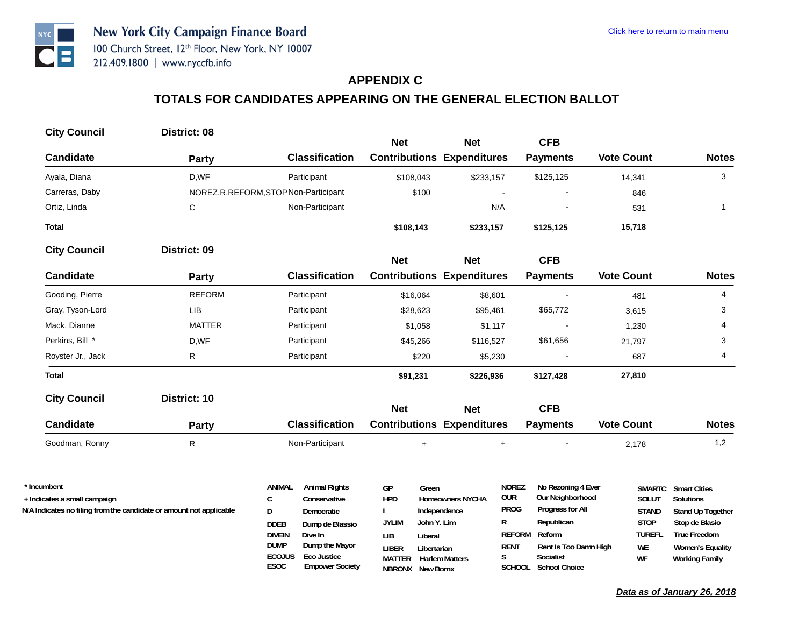# **APPENDIX C**

# **TOTALS FOR CANDIDATES APPEARING ON THE GENERAL ELECTION BALLOT**

| <b>City Council</b>                         | District: 08                                                        |                                                                | <b>Net</b>                        | <b>Net</b>              | <b>CFB</b>                                                           |                        |                                  |
|---------------------------------------------|---------------------------------------------------------------------|----------------------------------------------------------------|-----------------------------------|-------------------------|----------------------------------------------------------------------|------------------------|----------------------------------|
| <b>Candidate</b>                            | <b>Party</b>                                                        | <b>Classification</b>                                          | <b>Contributions Expenditures</b> |                         | <b>Payments</b>                                                      | <b>Vote Count</b>      | <b>Notes</b>                     |
| Ayala, Diana                                | D,WF                                                                | Participant                                                    | \$108,043                         | \$233,157               | \$125,125                                                            | 14,341                 | 3                                |
| Carreras, Daby                              |                                                                     | NOREZ, R, REFORM, STOP Non-Participant                         | \$100                             |                         |                                                                      | 846                    |                                  |
| Ortiz, Linda                                | C                                                                   | Non-Participant                                                |                                   | N/A                     |                                                                      | 531                    | $\mathbf{1}$                     |
| <b>Total</b>                                |                                                                     |                                                                | \$108,143                         | \$233,157               | \$125,125                                                            | 15,718                 |                                  |
| <b>City Council</b>                         | District: 09                                                        |                                                                | <b>Net</b>                        | <b>Net</b>              | <b>CFB</b>                                                           |                        |                                  |
| <b>Candidate</b>                            | Party                                                               | <b>Classification</b>                                          | <b>Contributions Expenditures</b> |                         | <b>Payments</b>                                                      | <b>Vote Count</b>      | <b>Notes</b>                     |
| Gooding, Pierre                             | <b>REFORM</b>                                                       | Participant                                                    | \$16,064                          | \$8,601                 |                                                                      | 481                    | 4                                |
| Gray, Tyson-Lord                            | LIB                                                                 | Participant                                                    | \$28,623                          | \$95,461                | \$65,772                                                             | 3,615                  | 3                                |
| Mack, Dianne                                | <b>MATTER</b>                                                       | Participant                                                    | \$1,058                           | \$1,117                 |                                                                      | 1,230                  | 4                                |
| Perkins, Bill *                             | D,WF                                                                | Participant                                                    | \$45,266                          | \$116,527               | \$61,656                                                             | 21,797                 | 3                                |
| Royster Jr., Jack                           | R                                                                   | Participant                                                    | \$220                             | \$5,230                 |                                                                      | 687                    | 4                                |
| <b>Total</b>                                |                                                                     |                                                                | \$91,231                          | \$226,936               | \$127,428                                                            | 27,810                 |                                  |
| <b>City Council</b>                         | District: 10                                                        |                                                                | <b>Net</b>                        | <b>Net</b>              | <b>CFB</b>                                                           |                        |                                  |
| <b>Candidate</b>                            | Party                                                               | <b>Classification</b>                                          | <b>Contributions Expenditures</b> |                         | <b>Payments</b>                                                      | <b>Vote Count</b>      | <b>Notes</b>                     |
| Goodman, Ronny                              | R                                                                   | Non-Participant                                                | $+$                               |                         | $\begin{array}{c} + \end{array}$                                     | 2,178                  | 1,2                              |
| * Incumbent<br>+ Indicates a small campaign |                                                                     | <b>Animal Rights</b><br>ANIMAL<br>$\mathsf{C}$<br>Conservative | GP<br>Green<br><b>HPD</b>         | <b>Homeowners NYCHA</b> | <b>NOREZ</b><br>No Rezoning 4 Ever<br><b>OUR</b><br>Our Neighborhood | <b>SMARTC</b><br>SOLUT | <b>Smart Cities</b><br>Solutions |
|                                             | N/A Indicates no filing from the candidate or amount not applicable | D<br>Democratic                                                |                                   | Independence            | <b>PROG</b><br>Progress for All                                      | <b>STAND</b>           | Stand Up Together                |
|                                             |                                                                     | <b>DDEB</b><br>Dump de Blassio                                 | John Y. Lim<br><b>JYLIM</b>       |                         | R<br>Republican                                                      | <b>STOP</b>            | Stop de Blasio                   |
|                                             |                                                                     | <b>DIVEIN</b><br>Dive In                                       | <b>LIB</b><br>Liberal             |                         | REFORM Reform                                                        | <b>TUREFL</b>          | <b>True Freedom</b>              |

**LIBER Libertarian MATTER Harlem MattersNBRONX New Bornx**

**S Socialist SCHOOL School Choice**

**RENT Rent Is Too Damn High**

**ESOC Empower Society ECOJUS Eco Justice**

**DUMP Dump the Mayor** 

**WE Women's Equality WF Working Family**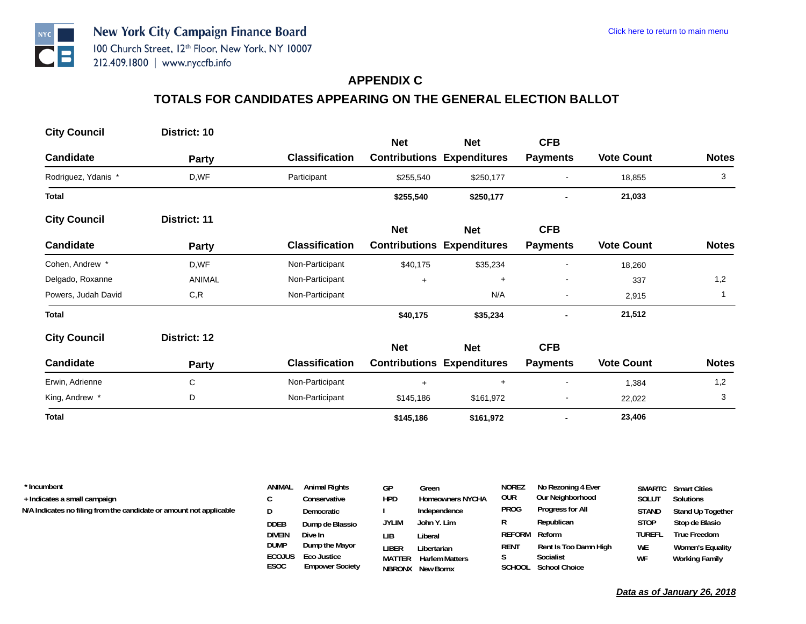#### **APPENDIX C**

# **TOTALS FOR CANDIDATES APPEARING ON THE GENERAL ELECTION BALLOT**

| <b>City Council</b> | District: 10  |                       | <b>Net</b> | <b>Net</b>                        | <b>CFB</b>               |                   |              |
|---------------------|---------------|-----------------------|------------|-----------------------------------|--------------------------|-------------------|--------------|
| <b>Candidate</b>    | Party         | <b>Classification</b> |            | <b>Contributions Expenditures</b> | <b>Payments</b>          | <b>Vote Count</b> | <b>Notes</b> |
| Rodriguez, Ydanis * | D,WF          | Participant           | \$255,540  | \$250,177                         |                          | 18,855            | 3            |
| <b>Total</b>        |               |                       | \$255,540  | \$250,177                         |                          | 21,033            |              |
| <b>City Council</b> | District: 11  |                       | <b>Net</b> | <b>Net</b>                        | <b>CFB</b>               |                   |              |
| <b>Candidate</b>    | <b>Party</b>  | <b>Classification</b> |            | <b>Contributions Expenditures</b> | <b>Payments</b>          | <b>Vote Count</b> | <b>Notes</b> |
| Cohen, Andrew *     | D,WF          | Non-Participant       | \$40,175   | \$35,234                          |                          | 18,260            |              |
| Delgado, Roxanne    | <b>ANIMAL</b> | Non-Participant       | $\ddot{}$  | $\ddot{}$                         |                          | 337               | 1,2          |
| Powers, Judah David | C, R          | Non-Participant       |            | N/A                               | $\overline{\phantom{a}}$ | 2,915             | 1            |
| <b>Total</b>        |               |                       | \$40,175   | \$35,234                          | $\blacksquare$           | 21,512            |              |
| <b>City Council</b> | District: 12  |                       | <b>Net</b> | <b>Net</b>                        | <b>CFB</b>               |                   |              |
| Candidate           | Party         | <b>Classification</b> |            | <b>Contributions Expenditures</b> | <b>Payments</b>          | <b>Vote Count</b> | <b>Notes</b> |
| Erwin, Adrienne     | C             | Non-Participant       | $+$        | $+$                               | $\blacksquare$           | 1,384             | 1,2          |
| King, Andrew *      | D             | Non-Participant       | \$145,186  | \$161,972                         |                          | 22,022            | 3            |
| <b>Total</b>        |               |                       | \$145,186  | \$161,972                         |                          | 23,406            |              |

| * Incumbent                                                         | ANIMAL        | <b>Animal Rights</b>   | GP            | Green                   | <b>NOREZ</b> | No Rezoning 4 Ever    |               | <b>SMARTC</b> Smart Cities |
|---------------------------------------------------------------------|---------------|------------------------|---------------|-------------------------|--------------|-----------------------|---------------|----------------------------|
| + Indicates a small campaign                                        |               | Conservative           | <b>HPD</b>    | <b>Homeowners NYCHA</b> | our          | Our Neighborhood      | <b>SOLUT</b>  | Solutions                  |
| N/A Indicates no filing from the candidate or amount not applicable | D             | Democratic             |               | Independence            | PROG         | Progress for All      | <b>STAND</b>  | Stand Up Together          |
|                                                                     | <b>DDEB</b>   | Dump de Blassio        | <b>JYLIM</b>  | John Y. Lim             | R            | Republican            | <b>STOP</b>   | Stop de Blasio             |
|                                                                     | <b>DIVEIN</b> | Dive In                | LІB           | Liberal                 | REFORM       | Reform                | <b>TUREFL</b> | <b>True Freedom</b>        |
|                                                                     | DUMP          | Dump the Mayor         | liber         | Libertarian             | RENT         | Rent Is Too Damn High | <b>WE</b>     | Women's Equality           |
|                                                                     | <b>ECOJUS</b> | Eco Justice            | <b>MATTER</b> | <b>Harlem Matters</b>   |              | Socialist             | WF            | <b>Working Family</b>      |
|                                                                     | <b>ESOC</b>   | <b>Empower Society</b> |               | <b>NRRONX</b> New Borny |              | SCHOOL School Choice  |               |                            |

**NBRONX New Bornx**

**SCHOOL School Choice**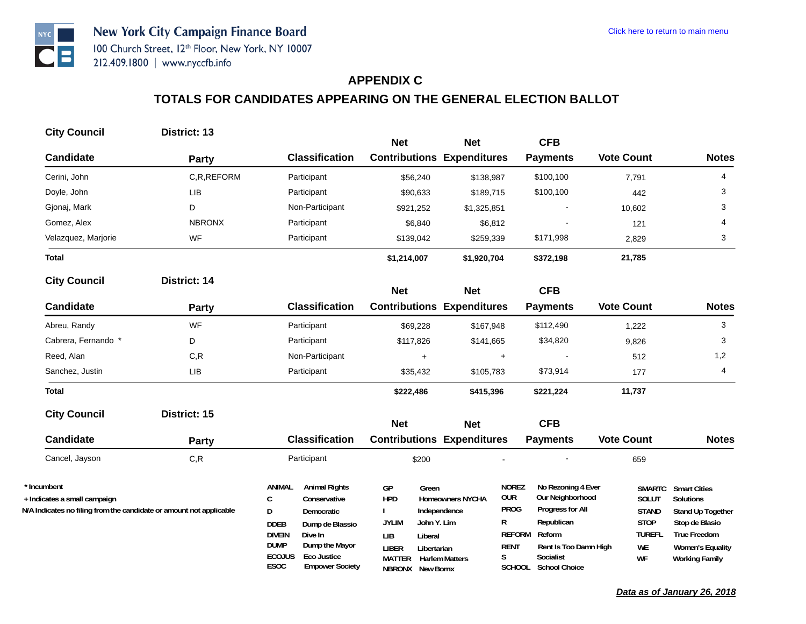## **APPENDIX C**

| District: 13                                                        |                                                                                                                                                                                                                     |                                                         |                                                                   |                                                                                                                                                                                                                                                                            |                                                                                                                          |                                                                                                                                                    |
|---------------------------------------------------------------------|---------------------------------------------------------------------------------------------------------------------------------------------------------------------------------------------------------------------|---------------------------------------------------------|-------------------------------------------------------------------|----------------------------------------------------------------------------------------------------------------------------------------------------------------------------------------------------------------------------------------------------------------------------|--------------------------------------------------------------------------------------------------------------------------|----------------------------------------------------------------------------------------------------------------------------------------------------|
|                                                                     | <b>Classification</b>                                                                                                                                                                                               |                                                         |                                                                   |                                                                                                                                                                                                                                                                            | <b>Vote Count</b>                                                                                                        | <b>Notes</b>                                                                                                                                       |
| C.R.REFORM                                                          | Participant                                                                                                                                                                                                         |                                                         |                                                                   | \$100,100                                                                                                                                                                                                                                                                  |                                                                                                                          | 4                                                                                                                                                  |
| LIB                                                                 | Participant                                                                                                                                                                                                         |                                                         | \$189,715                                                         | \$100,100                                                                                                                                                                                                                                                                  | 442                                                                                                                      | 3                                                                                                                                                  |
| D                                                                   | Non-Participant                                                                                                                                                                                                     | \$921,252                                               | \$1,325,851                                                       |                                                                                                                                                                                                                                                                            | 10,602                                                                                                                   | 3                                                                                                                                                  |
| <b>NBRONX</b>                                                       | Participant                                                                                                                                                                                                         | \$6,840                                                 | \$6,812                                                           |                                                                                                                                                                                                                                                                            | 121                                                                                                                      | 4                                                                                                                                                  |
| <b>WF</b>                                                           | Participant                                                                                                                                                                                                         | \$139,042                                               | \$259,339                                                         | \$171,998                                                                                                                                                                                                                                                                  | 2,829                                                                                                                    | 3                                                                                                                                                  |
|                                                                     |                                                                                                                                                                                                                     | \$1,214,007                                             | \$1,920,704                                                       | \$372,198                                                                                                                                                                                                                                                                  | 21,785                                                                                                                   |                                                                                                                                                    |
| District: 14                                                        |                                                                                                                                                                                                                     |                                                         |                                                                   |                                                                                                                                                                                                                                                                            |                                                                                                                          |                                                                                                                                                    |
| Party                                                               | <b>Classification</b>                                                                                                                                                                                               |                                                         |                                                                   | <b>Payments</b>                                                                                                                                                                                                                                                            | <b>Vote Count</b>                                                                                                        | <b>Notes</b>                                                                                                                                       |
| <b>WF</b>                                                           | Participant                                                                                                                                                                                                         | \$69,228                                                | \$167,948                                                         | \$112,490                                                                                                                                                                                                                                                                  | 1,222                                                                                                                    | 3                                                                                                                                                  |
| D                                                                   | Participant                                                                                                                                                                                                         | \$117,826                                               | \$141,665                                                         | \$34,820                                                                                                                                                                                                                                                                   | 9,826                                                                                                                    | 3                                                                                                                                                  |
| C, R                                                                | Non-Participant                                                                                                                                                                                                     | $+$                                                     | $\ddot{}$                                                         |                                                                                                                                                                                                                                                                            | 512                                                                                                                      | 1,2                                                                                                                                                |
| LIB                                                                 | Participant                                                                                                                                                                                                         | \$35,432                                                | \$105,783                                                         | \$73,914                                                                                                                                                                                                                                                                   | 177                                                                                                                      | 4                                                                                                                                                  |
|                                                                     |                                                                                                                                                                                                                     | \$222,486                                               | \$415,396                                                         | \$221,224                                                                                                                                                                                                                                                                  | 11,737                                                                                                                   |                                                                                                                                                    |
| District: 15                                                        |                                                                                                                                                                                                                     | <b>Net</b>                                              | <b>Net</b>                                                        | <b>CFB</b>                                                                                                                                                                                                                                                                 |                                                                                                                          |                                                                                                                                                    |
| <b>Party</b>                                                        | <b>Classification</b>                                                                                                                                                                                               |                                                         |                                                                   | <b>Payments</b>                                                                                                                                                                                                                                                            | <b>Vote Count</b>                                                                                                        | <b>Notes</b>                                                                                                                                       |
| C, R                                                                | Participant                                                                                                                                                                                                         | \$200                                                   |                                                                   |                                                                                                                                                                                                                                                                            | 659                                                                                                                      |                                                                                                                                                    |
| N/A Indicates no filing from the candidate or amount not applicable | <b>ANIMAL</b><br><b>Animal Rights</b><br>C<br>Conservative<br>D<br>Democratic<br><b>DDEB</b><br>Dump de Blassio<br><b>DIVEIN</b><br>Dive In<br><b>DUMP</b><br>Dump the Mayor<br><b>ECOJUS</b><br><b>Eco Justice</b> | GP<br><b>HPD</b><br><b>JYLIM</b><br>LIB<br><b>LIBER</b> | R<br>S                                                            | Republican<br>Reform<br>Socialist                                                                                                                                                                                                                                          | SOLUT<br><b>STAND</b><br><b>STOP</b><br><b>TUREFL</b><br>WE                                                              | <b>Smart Cities</b><br>Solutions<br>Stand Up Together<br>Stop de Blasio<br><b>True Freedom</b><br><b>Women's Equality</b><br><b>Working Family</b> |
|                                                                     | Party                                                                                                                                                                                                               | <b>ESOC</b><br><b>Empower Society</b>                   | <b>Net</b><br>\$56,240<br>\$90,633<br><b>Net</b><br><b>MATTER</b> | <b>Net</b><br><b>Contributions Expenditures</b><br>\$138,987<br><b>Net</b><br><b>Contributions Expenditures</b><br><b>Contributions Expenditures</b><br>Green<br><b>Homeowners NYCHA</b><br>Independence<br>John Y. Lim<br>Liberal<br>Libertarian<br><b>Harlem Matters</b> | <b>CFB</b><br><b>Payments</b><br><b>CFB</b><br><b>NOREZ</b><br><b>OUR</b><br><b>PROG</b><br><b>REFORM</b><br><b>RENT</b> | 7,791<br>No Rezoning 4 Ever<br><b>SMARTC</b><br>Our Neighborhood<br>Progress for All<br>Rent Is Too Damn High<br>WF<br>SCHOOL School Choice        |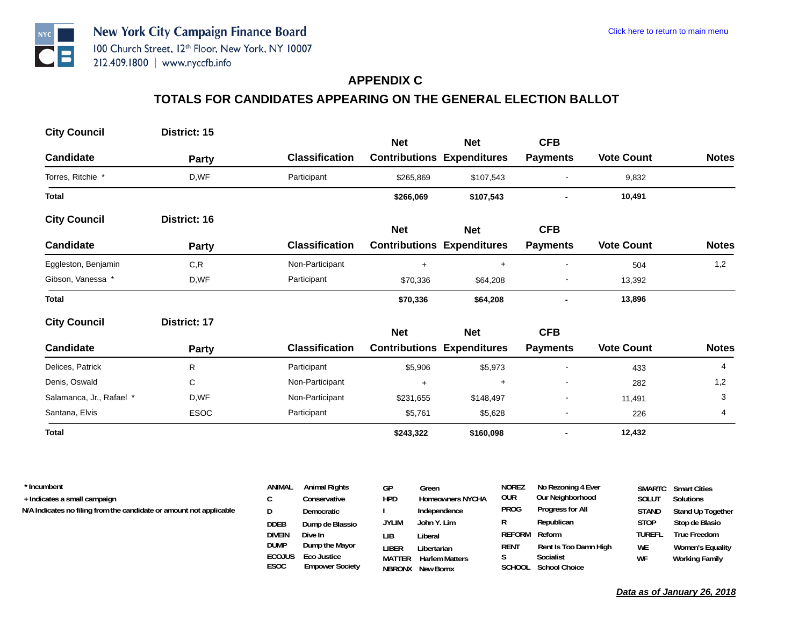## **APPENDIX C**

# **TOTALS FOR CANDIDATES APPEARING ON THE GENERAL ELECTION BALLOT**

| <b>City Council</b>      | District: 15 |                       |            |                                                 |                               |                   |              |
|--------------------------|--------------|-----------------------|------------|-------------------------------------------------|-------------------------------|-------------------|--------------|
| <b>Candidate</b>         | <b>Party</b> | <b>Classification</b> | <b>Net</b> | <b>Net</b><br><b>Contributions Expenditures</b> | <b>CFB</b><br><b>Payments</b> | <b>Vote Count</b> | <b>Notes</b> |
| Torres, Ritchie *        | D,WF         | Participant           |            |                                                 |                               |                   |              |
|                          |              |                       | \$265,869  | \$107,543                                       |                               | 9,832             |              |
| <b>Total</b>             |              |                       | \$266,069  | \$107,543                                       |                               | 10,491            |              |
| <b>City Council</b>      | District: 16 |                       | <b>Net</b> | <b>Net</b>                                      | <b>CFB</b>                    |                   |              |
| <b>Candidate</b>         | <b>Party</b> | <b>Classification</b> |            | <b>Contributions Expenditures</b>               | <b>Payments</b>               | <b>Vote Count</b> | <b>Notes</b> |
| Eggleston, Benjamin      | C, R         | Non-Participant       | $\ddot{}$  | $\ddot{}$                                       | $\overline{\phantom{a}}$      | 504               | 1,2          |
| Gibson, Vanessa *        | D,WF         | Participant           | \$70,336   | \$64,208                                        | $\overline{\phantom{a}}$      | 13,392            |              |
| <b>Total</b>             |              |                       | \$70,336   | \$64,208                                        |                               | 13,896            |              |
| <b>City Council</b>      | District: 17 |                       | <b>Net</b> | <b>Net</b>                                      | <b>CFB</b>                    |                   |              |
| <b>Candidate</b>         | Party        | <b>Classification</b> |            | <b>Contributions Expenditures</b>               | <b>Payments</b>               | <b>Vote Count</b> | <b>Notes</b> |
| Delices, Patrick         | R            | Participant           | \$5,906    | \$5,973                                         | $\overline{a}$                | 433               | 4            |
| Denis, Oswald            | C            | Non-Participant       | $\ddot{}$  | $\ddot{}$                                       | $\overline{a}$                | 282               | 1,2          |
| Salamanca, Jr., Rafael * | D,WF         | Non-Participant       | \$231,655  | \$148,497                                       | $\overline{\phantom{a}}$      | 11,491            | 3            |
| Santana, Elvis           | <b>ESOC</b>  | Participant           | \$5,761    | \$5,628                                         | $\overline{a}$                | 226               | 4            |
| <b>Total</b>             |              |                       | \$243,322  | \$160,098                                       |                               | 12,432            |              |

| * Incumbent                                                         | ANIMAL        | <b>Animal Rights</b> | GP            | Green                   | <b>NOREZ</b>  | No Rezoning 4 Ever    |              | <b>SMARTC</b> Smart Cities |
|---------------------------------------------------------------------|---------------|----------------------|---------------|-------------------------|---------------|-----------------------|--------------|----------------------------|
| + Indicates a small campaign                                        |               | Conservative         | <b>HPD</b>    | <b>Homeowners NYCHA</b> | our           | Our Neighborhood      | SOLUT        | Solutions                  |
| N/A Indicates no filing from the candidate or amount not applicable | D             | Democratic           |               | Independence            | <b>PROG</b>   | Progress for All      | <b>STAND</b> | Stand Up Together          |
|                                                                     | <b>DDEB</b>   | Dump de Blassio      | <b>JYLIM</b>  | John Y. Lim             | R             | Republican            | <b>STOP</b>  | Stop de Blasio             |
|                                                                     | <b>DIVEIN</b> | Dive In              | LIB.          | Liberal                 | REFORM Reform |                       | TUREFL       | <b>True Freedom</b>        |
|                                                                     | <b>DUMP</b>   | Dump the Mayor       | LIBER         | Libertarian             | RENT          | Rent Is Too Damn High | <b>WE</b>    | <b>Women's Equality</b>    |
|                                                                     | <b>ECOJUS</b> | Eco Justice          | <b>MATTER</b> | <b>Harlem Matters</b>   |               | Socialist             | WF           | Working Family             |

**NBRONX New Bornx**

**SCHOOL School Choice**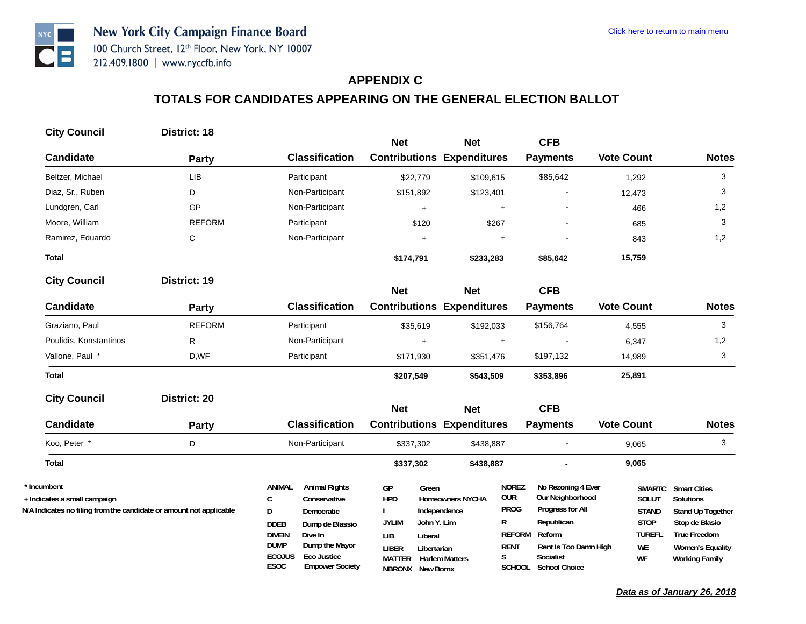## **APPENDIX C**

| <b>City Council</b>                                                                                                | District: 18  |                                                                                                                                                                                                                                                           | <b>Net</b>                                                                                                                                            | <b>Net</b>                                                       |                                                                                                             | <b>CFB</b>                                                                                                               |                                                                                    |                                                                                                                                                           |
|--------------------------------------------------------------------------------------------------------------------|---------------|-----------------------------------------------------------------------------------------------------------------------------------------------------------------------------------------------------------------------------------------------------------|-------------------------------------------------------------------------------------------------------------------------------------------------------|------------------------------------------------------------------|-------------------------------------------------------------------------------------------------------------|--------------------------------------------------------------------------------------------------------------------------|------------------------------------------------------------------------------------|-----------------------------------------------------------------------------------------------------------------------------------------------------------|
| <b>Candidate</b>                                                                                                   | Party         | <b>Classification</b>                                                                                                                                                                                                                                     | <b>Contributions Expenditures</b>                                                                                                                     |                                                                  |                                                                                                             | <b>Payments</b>                                                                                                          | <b>Vote Count</b>                                                                  | <b>Notes</b>                                                                                                                                              |
| Beltzer, Michael                                                                                                   | <b>LIB</b>    | Participant                                                                                                                                                                                                                                               | \$22,779                                                                                                                                              | \$109,615                                                        |                                                                                                             | \$85,642                                                                                                                 | 1,292                                                                              | 3                                                                                                                                                         |
| Diaz, Sr., Ruben                                                                                                   | D             | Non-Participant                                                                                                                                                                                                                                           | \$151,892                                                                                                                                             | \$123,401                                                        |                                                                                                             |                                                                                                                          | 12,473                                                                             | 3                                                                                                                                                         |
| Lundgren, Carl                                                                                                     | GP            | Non-Participant                                                                                                                                                                                                                                           | $+$                                                                                                                                                   |                                                                  | $\ddot{\phantom{1}}$                                                                                        |                                                                                                                          | 466                                                                                | 1,2                                                                                                                                                       |
| Moore, William                                                                                                     | <b>REFORM</b> | Participant                                                                                                                                                                                                                                               | \$120                                                                                                                                                 | \$267                                                            |                                                                                                             |                                                                                                                          | 685                                                                                | 3                                                                                                                                                         |
| Ramirez, Eduardo                                                                                                   | $\mathsf C$   | Non-Participant                                                                                                                                                                                                                                           | $+$                                                                                                                                                   |                                                                  | $+$                                                                                                         |                                                                                                                          | 843                                                                                | 1,2                                                                                                                                                       |
| <b>Total</b>                                                                                                       |               |                                                                                                                                                                                                                                                           | \$174,791                                                                                                                                             | \$233,283                                                        |                                                                                                             | \$85,642                                                                                                                 | 15,759                                                                             |                                                                                                                                                           |
| <b>City Council</b>                                                                                                | District: 19  |                                                                                                                                                                                                                                                           | <b>Net</b>                                                                                                                                            | <b>Net</b>                                                       |                                                                                                             | <b>CFB</b>                                                                                                               |                                                                                    |                                                                                                                                                           |
| <b>Candidate</b>                                                                                                   | Party         | <b>Classification</b>                                                                                                                                                                                                                                     | <b>Contributions Expenditures</b>                                                                                                                     |                                                                  |                                                                                                             | <b>Payments</b>                                                                                                          | <b>Vote Count</b>                                                                  | <b>Notes</b>                                                                                                                                              |
| Graziano, Paul                                                                                                     | <b>REFORM</b> | Participant                                                                                                                                                                                                                                               | \$35,619                                                                                                                                              | \$192,033                                                        |                                                                                                             | \$156,764                                                                                                                | 4,555                                                                              | 3                                                                                                                                                         |
| Poulidis, Konstantinos                                                                                             | R             | Non-Participant                                                                                                                                                                                                                                           | $+$                                                                                                                                                   |                                                                  | $\ddot{}$                                                                                                   |                                                                                                                          | 6,347                                                                              | 1,2                                                                                                                                                       |
| Vallone, Paul *                                                                                                    | D,WF          | Participant                                                                                                                                                                                                                                               | \$171,930                                                                                                                                             | \$351,476                                                        |                                                                                                             | \$197,132                                                                                                                | 14,989                                                                             | 3                                                                                                                                                         |
| <b>Total</b>                                                                                                       |               |                                                                                                                                                                                                                                                           | \$207,549                                                                                                                                             | \$543,509                                                        |                                                                                                             | \$353,896                                                                                                                | 25,891                                                                             |                                                                                                                                                           |
| <b>City Council</b>                                                                                                | District: 20  |                                                                                                                                                                                                                                                           | <b>Net</b>                                                                                                                                            | <b>Net</b>                                                       |                                                                                                             | <b>CFB</b>                                                                                                               |                                                                                    |                                                                                                                                                           |
| <b>Candidate</b>                                                                                                   | <b>Party</b>  | <b>Classification</b>                                                                                                                                                                                                                                     | <b>Contributions Expenditures</b>                                                                                                                     |                                                                  |                                                                                                             | <b>Payments</b>                                                                                                          | <b>Vote Count</b>                                                                  | <b>Notes</b>                                                                                                                                              |
| Koo, Peter *                                                                                                       | D             | Non-Participant                                                                                                                                                                                                                                           | \$337,302                                                                                                                                             | \$438,887                                                        |                                                                                                             |                                                                                                                          | 9,065                                                                              | 3                                                                                                                                                         |
| <b>Total</b>                                                                                                       |               |                                                                                                                                                                                                                                                           | \$337,302                                                                                                                                             | \$438,887                                                        |                                                                                                             |                                                                                                                          | 9,065                                                                              |                                                                                                                                                           |
| * Incumbent<br>+ Indicates a small campaign<br>N/A Indicates no filing from the candidate or amount not applicable |               | ANIMAL<br><b>Animal Rights</b><br>$\mathsf{C}$<br>Conservative<br>D<br>Democratic<br><b>DDEB</b><br>Dump de Blassio<br><b>DIVEIN</b><br>Dive In<br><b>DUMP</b><br>Dump the Mayor<br><b>ECOJUS</b><br><b>Eco Justice</b><br>ESOC<br><b>Empower Society</b> | GP<br>Green<br><b>HPD</b><br><b>JYLIM</b><br>John Y. Lim<br><b>LIB</b><br>Liberal<br><b>LIBER</b><br>Libertarian<br><b>MATTER</b><br>NBRONX New Bornx | <b>Homeowners NYCHA</b><br>Independence<br><b>Harlem Matters</b> | <b>NOREZ</b><br><b>OUR</b><br><b>PROG</b><br>R<br><b>REFORM</b><br><b>RENT</b><br>S<br>SCHOOL School Choice | No Rezoning 4 Ever<br>Our Neighborhood<br>Progress for All<br>Republican<br>Reform<br>Rent Is Too Damn High<br>Socialist | <b>SMARTC</b><br>SOLUT<br><b>STAND</b><br><b>STOP</b><br><b>TUREFL</b><br>WE<br>WF | <b>Smart Cities</b><br><b>Solutions</b><br>Stand Up Together<br>Stop de Blasio<br><b>True Freedom</b><br><b>Women's Equality</b><br><b>Working Family</b> |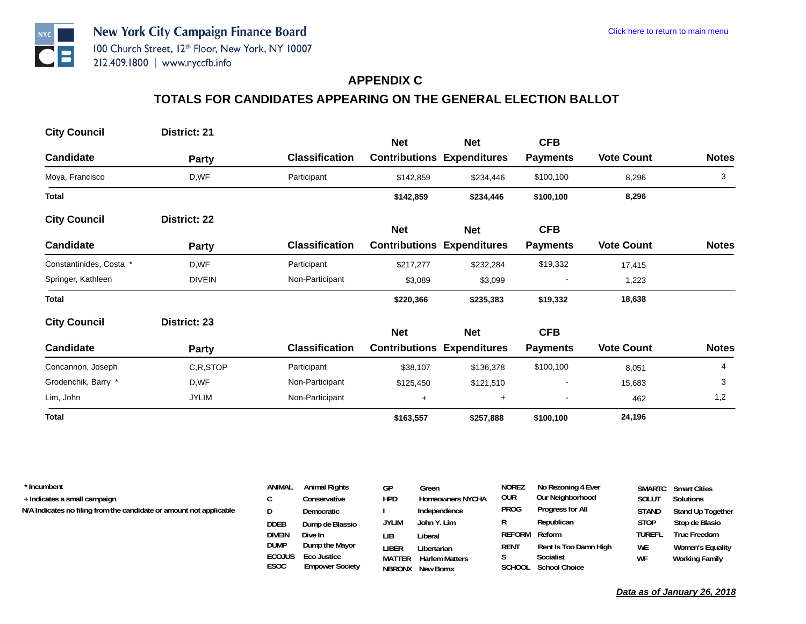#### **APPENDIX C**

# **TOTALS FOR CANDIDATES APPEARING ON THE GENERAL ELECTION BALLOT**

| <b>City Council</b>     | District: 21  |                       | <b>Net</b> | <b>Net</b>                        | <b>CFB</b>               |                   |              |
|-------------------------|---------------|-----------------------|------------|-----------------------------------|--------------------------|-------------------|--------------|
| <b>Candidate</b>        | <b>Party</b>  | <b>Classification</b> |            | <b>Contributions Expenditures</b> | <b>Payments</b>          | <b>Vote Count</b> | <b>Notes</b> |
| Moya, Francisco         | D,WF          | Participant           | \$142,859  | \$234,446                         | \$100,100                | 8,296             | 3            |
| <b>Total</b>            |               |                       | \$142,859  | \$234,446                         | \$100,100                | 8,296             |              |
| <b>City Council</b>     | District: 22  |                       | <b>Net</b> | <b>Net</b>                        | <b>CFB</b>               |                   |              |
| <b>Candidate</b>        | <b>Party</b>  | <b>Classification</b> |            | <b>Contributions Expenditures</b> | <b>Payments</b>          | <b>Vote Count</b> | <b>Notes</b> |
| Constantinides, Costa * | D,WF          | Participant           | \$217,277  | \$232,284                         | \$19,332                 | 17,415            |              |
| Springer, Kathleen      | <b>DIVEIN</b> | Non-Participant       | \$3,089    | \$3,099                           |                          | 1,223             |              |
| <b>Total</b>            |               |                       | \$220,366  | \$235,383                         | \$19,332                 | 18,638            |              |
| <b>City Council</b>     | District: 23  |                       | <b>Net</b> | <b>Net</b>                        | <b>CFB</b>               |                   |              |
| <b>Candidate</b>        | Party         | <b>Classification</b> |            | <b>Contributions Expenditures</b> | <b>Payments</b>          | <b>Vote Count</b> | <b>Notes</b> |
| Concannon, Joseph       | C,R,STOP      | Participant           | \$38,107   | \$136,378                         | \$100,100                | 8,051             | 4            |
| Grodenchik, Barry *     | D,WF          | Non-Participant       | \$125,450  | \$121,510                         | $\overline{\phantom{a}}$ | 15,683            | 3            |
| Lim, John               | <b>JYLIM</b>  | Non-Participant       | $\ddot{}$  | $\ddot{}$                         |                          | 462               | 1,2          |
| <b>Total</b>            |               |                       | \$163,557  | \$257,888                         | \$100,100                | 24,196            |              |

| * Incumbent                                                         | ANIMAL        | <b>Animal Rights</b>   | GР           | Green                   | <b>NOREZ</b>  | No Rezoning 4 Ever    |              | <b>SMARTC</b> Smart Cities |
|---------------------------------------------------------------------|---------------|------------------------|--------------|-------------------------|---------------|-----------------------|--------------|----------------------------|
| + Indicates a small campaign                                        |               | Conservative           | <b>HPD</b>   | <b>Homeowners NYCHA</b> | our           | Our Neighborhood      | SOLUT        | Solutions                  |
| N/A Indicates no filing from the candidate or amount not applicable | D             | Democratic             |              | Independence            | <b>PROG</b>   | Progress for All      | <b>STAND</b> | Stand Up Together          |
|                                                                     | DDEB          | Dump de Blassio        | <b>JYLIM</b> | John Y. Lim             | R             | Republican            | <b>STOP</b>  | Stop de Blasio             |
|                                                                     | <b>DIVEIN</b> | Dive In                | LIB.         | Liberal                 | REFORM Reform |                       | TUREFL       | <b>True Freedom</b>        |
|                                                                     | <b>DUMP</b>   | Dump the Mayor         | liber        | Libertarian             | RENT          | Rent Is Too Damn High | <b>WE</b>    | <b>Women's Equality</b>    |
|                                                                     | <b>ECOJUS</b> | Eco Justice            | MATTER       | <b>Harlem Matters</b>   |               | Socialist             | WF           | <b>Working Family</b>      |
|                                                                     | <b>ESOC</b>   | <b>Empower Society</b> |              | <b>NRRONX</b> New Rorny |               | SCHOOL School Choice  |              |                            |

**NBRONX New Bornx**

**SCHOOL School Choice**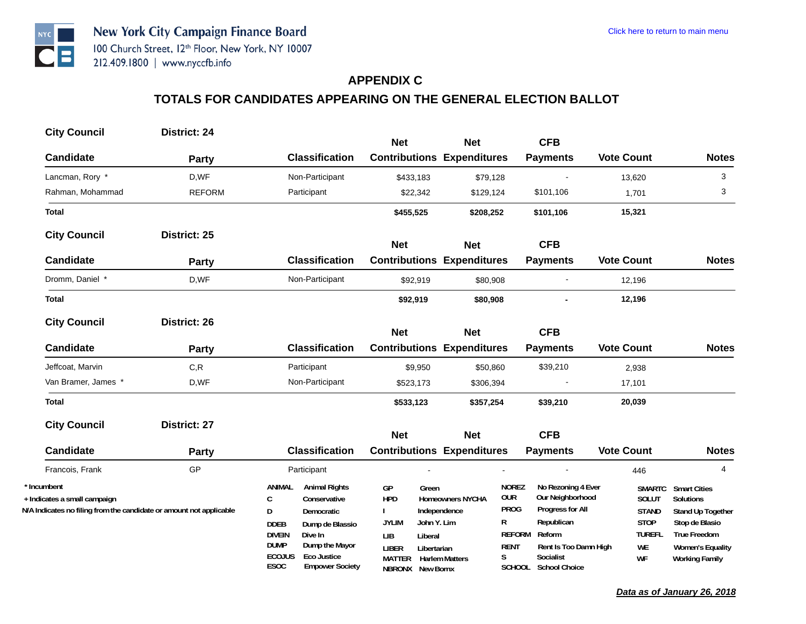## **APPENDIX C**

| <b>City Council</b>                                                 | District: 24  |                                                                      |                                                 |                         |                            |                                        |                        |                                         |
|---------------------------------------------------------------------|---------------|----------------------------------------------------------------------|-------------------------------------------------|-------------------------|----------------------------|----------------------------------------|------------------------|-----------------------------------------|
| <b>Candidate</b>                                                    |               | <b>Classification</b>                                                | <b>Net</b><br><b>Contributions Expenditures</b> | <b>Net</b>              |                            | <b>CFB</b>                             | <b>Vote Count</b>      | <b>Notes</b>                            |
|                                                                     | <b>Party</b>  |                                                                      |                                                 |                         |                            | <b>Payments</b>                        |                        |                                         |
| Lancman, Rory *                                                     | D,WF          | Non-Participant                                                      | \$433,183                                       | \$79,128                |                            |                                        | 13,620                 | 3                                       |
| Rahman, Mohammad                                                    | <b>REFORM</b> | Participant                                                          | \$22,342                                        | \$129,124               |                            | \$101,106                              | 1,701                  | 3                                       |
| <b>Total</b>                                                        |               |                                                                      | \$455,525                                       | \$208,252               |                            | \$101,106                              | 15,321                 |                                         |
| <b>City Council</b>                                                 | District: 25  |                                                                      |                                                 |                         |                            |                                        |                        |                                         |
|                                                                     |               |                                                                      | <b>Net</b>                                      | <b>Net</b>              |                            | <b>CFB</b>                             |                        |                                         |
| <b>Candidate</b>                                                    | Party         | <b>Classification</b>                                                | <b>Contributions Expenditures</b>               |                         |                            | <b>Payments</b>                        | <b>Vote Count</b>      | <b>Notes</b>                            |
| Dromm, Daniel *                                                     | D,WF          | Non-Participant                                                      | \$92,919                                        | \$80,908                |                            |                                        | 12,196                 |                                         |
| <b>Total</b>                                                        |               |                                                                      | \$92,919                                        | \$80,908                |                            |                                        | 12,196                 |                                         |
| <b>City Council</b>                                                 | District: 26  |                                                                      | <b>Net</b>                                      | <b>Net</b>              |                            | <b>CFB</b>                             |                        |                                         |
| <b>Candidate</b>                                                    | <b>Party</b>  | <b>Classification</b>                                                | <b>Contributions Expenditures</b>               |                         |                            | <b>Payments</b>                        | <b>Vote Count</b>      | <b>Notes</b>                            |
| Jeffcoat, Marvin                                                    | C, R          | Participant                                                          | \$9,950                                         | \$50,860                |                            | \$39,210                               | 2,938                  |                                         |
| Van Bramer, James *                                                 | D,WF          | Non-Participant                                                      | \$523,173                                       | \$306,394               |                            |                                        | 17,101                 |                                         |
| <b>Total</b>                                                        |               |                                                                      | \$533,123                                       | \$357,254               |                            | \$39,210                               | 20,039                 |                                         |
| <b>City Council</b>                                                 | District: 27  |                                                                      |                                                 |                         |                            |                                        |                        |                                         |
|                                                                     |               |                                                                      | <b>Net</b>                                      | <b>Net</b>              |                            | <b>CFB</b>                             |                        |                                         |
| <b>Candidate</b>                                                    | <b>Party</b>  | <b>Classification</b>                                                | <b>Contributions Expenditures</b>               |                         |                            | <b>Payments</b>                        | <b>Vote Count</b>      | <b>Notes</b>                            |
| Francois, Frank                                                     | GP            | Participant                                                          |                                                 |                         |                            |                                        | 446                    | $\overline{4}$                          |
| * Incumbent<br>+ Indicates a small campaign                         |               | <b>Animal Rights</b><br>ANIMAL<br>C<br>Conservative                  | GP<br>Green<br><b>HPD</b>                       | <b>Homeowners NYCHA</b> | <b>NOREZ</b><br><b>OUR</b> | No Rezoning 4 Ever<br>Our Neighborhood | <b>SMARTC</b><br>SOLUT | <b>Smart Cities</b><br><b>Solutions</b> |
| N/A Indicates no filing from the candidate or amount not applicable |               | D<br><b>Democratic</b>                                               |                                                 | Independence            | <b>PROG</b>                | Progress for All                       | <b>STAND</b>           | <b>Stand Up Together</b>                |
|                                                                     |               | <b>DDEB</b><br>Dump de Blassio                                       | <b>JYLIM</b><br>John Y. Lim                     |                         | R                          | Republican                             | <b>STOP</b>            | Stop de Blasio                          |
|                                                                     |               | <b>DIVEIN</b><br>Dive In                                             | LIB<br>Liberal                                  |                         | <b>REFORM</b>              | Reform                                 | <b>TUREFL</b>          | <b>True Freedom</b>                     |
|                                                                     |               | <b>DUMP</b><br>Dump the Mayor<br><b>ECOJUS</b><br><b>Eco Justice</b> | <b>LIBER</b><br>Libertarian<br><b>MATTER</b>    | <b>Harlem Matters</b>   | <b>RENT</b><br>S           | Rent Is Too Damn High<br>Socialist     | WE<br>WF               | <b>Women's Equality</b>                 |
|                                                                     |               | ESOC<br><b>Empower Society</b>                                       | NBRONX New Bornx                                |                         |                            | SCHOOL School Choice                   |                        | <b>Working Family</b>                   |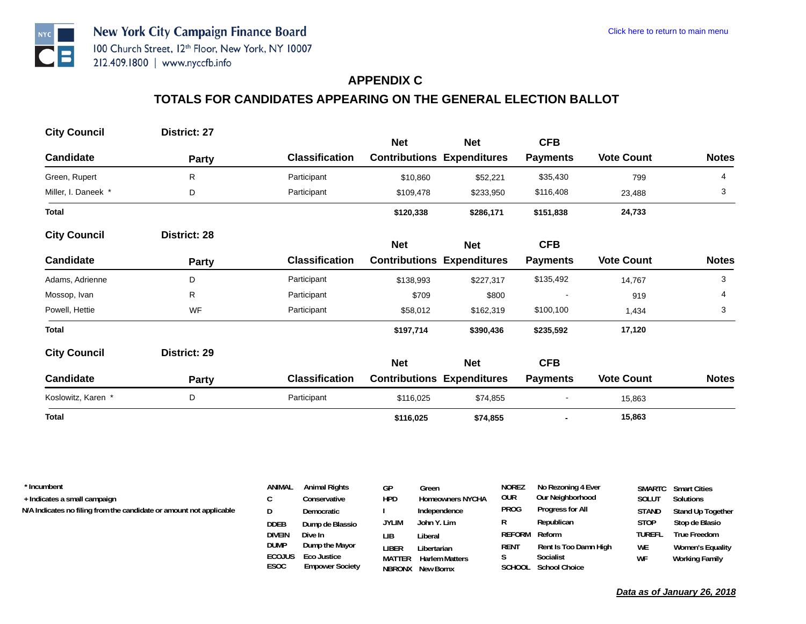## **APPENDIX C**

# **TOTALS FOR CANDIDATES APPEARING ON THE GENERAL ELECTION BALLOT**

| <b>City Council</b> | District: 27 |                       |            |                                   |                 |                   |              |
|---------------------|--------------|-----------------------|------------|-----------------------------------|-----------------|-------------------|--------------|
|                     |              |                       | <b>Net</b> | <b>Net</b>                        | <b>CFB</b>      |                   |              |
| <b>Candidate</b>    | <b>Party</b> | <b>Classification</b> |            | <b>Contributions Expenditures</b> | <b>Payments</b> | <b>Vote Count</b> | <b>Notes</b> |
| Green, Rupert       | R.           | Participant           | \$10,860   | \$52,221                          | \$35,430        | 799               | 4            |
| Miller, I. Daneek * | D            | Participant           | \$109,478  | \$233,950                         | \$116,408       | 23,488            | 3            |
| <b>Total</b>        |              |                       | \$120,338  | \$286,171                         | \$151,838       | 24,733            |              |
| <b>City Council</b> | District: 28 |                       |            |                                   |                 |                   |              |
|                     |              |                       | <b>Net</b> | <b>Net</b>                        | <b>CFB</b>      |                   |              |
| <b>Candidate</b>    | Party        | <b>Classification</b> |            | <b>Contributions Expenditures</b> | <b>Payments</b> | <b>Vote Count</b> | <b>Notes</b> |
| Adams, Adrienne     | D            | Participant           | \$138,993  | \$227,317                         | \$135,492       | 14,767            | 3            |
| Mossop, Ivan        | R            | Participant           | \$709      | \$800                             |                 | 919               | 4            |
| Powell, Hettie      | WF           | Participant           | \$58,012   | \$162,319                         | \$100,100       | 1,434             | 3            |
| <b>Total</b>        |              |                       | \$197,714  | \$390,436                         | \$235,592       | 17,120            |              |
| <b>City Council</b> | District: 29 |                       |            |                                   |                 |                   |              |
|                     |              |                       | <b>Net</b> | <b>Net</b>                        | <b>CFB</b>      |                   |              |
| <b>Candidate</b>    | Party        | <b>Classification</b> |            | <b>Contributions Expenditures</b> | <b>Payments</b> | <b>Vote Count</b> | <b>Notes</b> |
| Koslowitz, Karen *  | D            | Participant           | \$116,025  | \$74,855                          |                 | 15,863            |              |
| <b>Total</b>        |              |                       | \$116,025  | \$74,855                          |                 | 15,863            |              |

| * Incumbent                                                         | ANIMAL        | <b>Animal Rights</b>   | GP            | Green                   | <b>NOREZ</b>  | No Rezoning 4 Ever    |               | <b>SMARTC</b> Smart Cities |
|---------------------------------------------------------------------|---------------|------------------------|---------------|-------------------------|---------------|-----------------------|---------------|----------------------------|
| + Indicates a small campaign                                        |               | Conservative           | <b>HPD</b>    | <b>Homeowners NYCHA</b> | our           | Our Neighborhood      | Solut         | <b>Solutions</b>           |
| N/A Indicates no filing from the candidate or amount not applicable | D             | Democratic             |               | Independence            | <b>PROG</b>   | Progress for All      | STAND         | Stand Up Together          |
|                                                                     | DDEB          | Dump de Blassio        | <b>JYLIM</b>  | John Y. Lim             | R             | Republican            | <b>STOP</b>   | Stop de Blasio             |
|                                                                     | <b>DIVEIN</b> | Dive In                | LІB           | Liberal                 | REFORM Reform |                       | <b>TUREFL</b> | True Freedom               |
|                                                                     | <b>DUMP</b>   | Dump the Mayor         | LIBER         | Libertarian             | RENT          | Rent Is Too Damn High | <b>WE</b>     | <b>Women's Equality</b>    |
|                                                                     | <b>ECOJUS</b> | Eco Justice            | <b>MATTER</b> | <b>Harlem Matters</b>   |               | Socialist             | WF            | <b>Working Family</b>      |
|                                                                     | <b>ESOC</b>   | <b>Empower Society</b> |               | <b>NRRONX</b> New Borny |               | SCHOOL School Choice  |               |                            |

**NBRONX New Bornx**

**SCHOOL School Choice**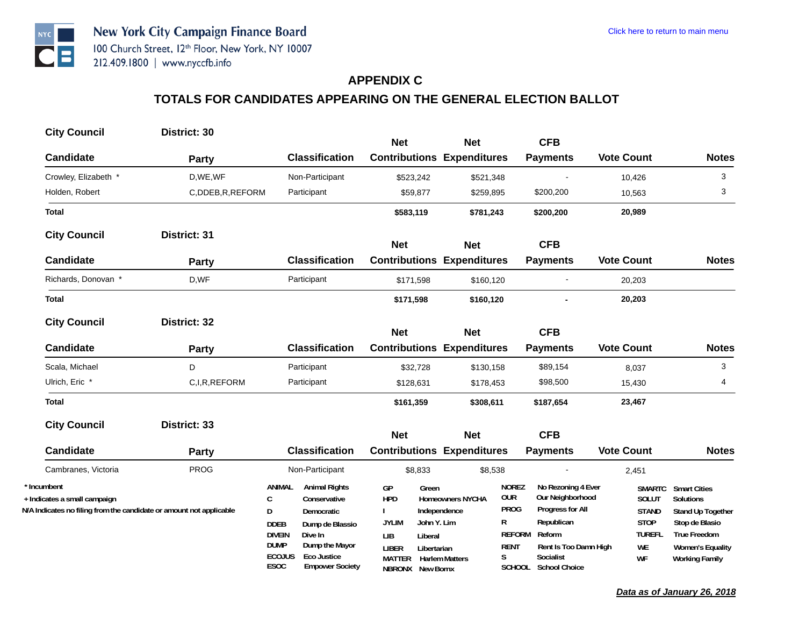## **APPENDIX C**

| <b>City Council</b>                                                 | District: 30    |                                                                      |                                   |                         |                            |                                        |                        |                                         |
|---------------------------------------------------------------------|-----------------|----------------------------------------------------------------------|-----------------------------------|-------------------------|----------------------------|----------------------------------------|------------------------|-----------------------------------------|
|                                                                     |                 |                                                                      | <b>Net</b>                        | <b>Net</b>              |                            | <b>CFB</b>                             |                        |                                         |
| <b>Candidate</b>                                                    | <b>Party</b>    | <b>Classification</b>                                                | <b>Contributions Expenditures</b> |                         |                            | <b>Payments</b>                        | <b>Vote Count</b>      | <b>Notes</b>                            |
| Crowley, Elizabeth *                                                | D, WE, WF       | Non-Participant                                                      | \$523,242                         | \$521,348               |                            |                                        | 10,426                 | 3                                       |
| Holden, Robert                                                      | C,DDEB,R,REFORM | Participant                                                          | \$59,877                          | \$259,895               |                            | \$200,200                              | 10,563                 | 3                                       |
| <b>Total</b>                                                        |                 |                                                                      | \$583,119                         | \$781,243               |                            | \$200,200                              | 20,989                 |                                         |
| <b>City Council</b>                                                 | District: 31    |                                                                      |                                   |                         |                            |                                        |                        |                                         |
|                                                                     |                 |                                                                      | <b>Net</b>                        | <b>Net</b>              |                            | <b>CFB</b>                             |                        |                                         |
| <b>Candidate</b>                                                    | Party           | <b>Classification</b>                                                | <b>Contributions Expenditures</b> |                         |                            | <b>Payments</b>                        | <b>Vote Count</b>      | <b>Notes</b>                            |
| Richards, Donovan *                                                 | D,WF            | Participant                                                          | \$171,598                         | \$160,120               |                            |                                        | 20,203                 |                                         |
| <b>Total</b>                                                        |                 |                                                                      | \$171,598                         | \$160,120               |                            |                                        | 20,203                 |                                         |
| <b>City Council</b>                                                 | District: 32    |                                                                      |                                   |                         |                            |                                        |                        |                                         |
|                                                                     |                 |                                                                      | <b>Net</b>                        | <b>Net</b>              |                            | <b>CFB</b>                             |                        |                                         |
| <b>Candidate</b>                                                    | Party           | <b>Classification</b>                                                | <b>Contributions Expenditures</b> |                         |                            | <b>Payments</b>                        | <b>Vote Count</b>      | <b>Notes</b>                            |
| Scala, Michael                                                      | D               | Participant                                                          | \$32,728                          | \$130,158               |                            | \$89,154                               | 8,037                  | 3                                       |
| Ulrich, Eric *                                                      | C,I,R,REFORM    | Participant                                                          | \$128,631                         | \$178,453               |                            | \$98,500                               | 15,430                 | 4                                       |
| <b>Total</b>                                                        |                 |                                                                      | \$161,359                         | \$308,611               |                            | \$187,654                              | 23,467                 |                                         |
| <b>City Council</b>                                                 | District: 33    |                                                                      |                                   |                         |                            | <b>CFB</b>                             |                        |                                         |
|                                                                     |                 |                                                                      | <b>Net</b>                        | <b>Net</b>              |                            |                                        |                        |                                         |
| <b>Candidate</b>                                                    | <b>Party</b>    | <b>Classification</b>                                                | <b>Contributions Expenditures</b> |                         |                            | <b>Payments</b>                        | <b>Vote Count</b>      | <b>Notes</b>                            |
| Cambranes, Victoria                                                 | <b>PROG</b>     | Non-Participant                                                      | \$8,833                           | \$8,538                 |                            |                                        | 2,451                  |                                         |
| * Incumbent<br>+ Indicates a small campaign                         |                 | <b>Animal Rights</b><br>ANIMAL<br>C<br>Conservative                  | GP<br>Green<br><b>HPD</b>         | <b>Homeowners NYCHA</b> | <b>NOREZ</b><br><b>OUR</b> | No Rezoning 4 Ever<br>Our Neighborhood | <b>SMARTC</b><br>SOLUT | <b>Smart Cities</b><br><b>Solutions</b> |
| N/A Indicates no filing from the candidate or amount not applicable |                 | D<br><b>Democratic</b>                                               |                                   | Independence            | <b>PROG</b>                | Progress for All                       | <b>STAND</b>           | Stand Up Together                       |
|                                                                     |                 | <b>DDEB</b><br>Dump de Blassio                                       | <b>JYLIM</b><br>John Y. Lim       |                         | R                          | Republican                             | <b>STOP</b>            | Stop de Blasio                          |
|                                                                     |                 | <b>DIVEIN</b><br>Dive In                                             | LIB<br>Liberal                    |                         | <b>REFORM</b>              | Reform                                 | <b>TUREFL</b>          | <b>True Freedom</b>                     |
|                                                                     |                 | <b>DUMP</b><br>Dump the Mayor<br><b>ECOJUS</b><br><b>Eco Justice</b> | <b>LIBER</b><br>Libertarian       |                         | <b>RENT</b><br>S           | Rent Is Too Damn High<br>Socialist     | WE                     | <b>Women's Equality</b>                 |
|                                                                     |                 | ESOC<br><b>Empower Society</b>                                       | MATTER<br>NBRONX New Bornx        | <b>Harlem Matters</b>   |                            | SCHOOL School Choice                   | WF                     | <b>Working Family</b>                   |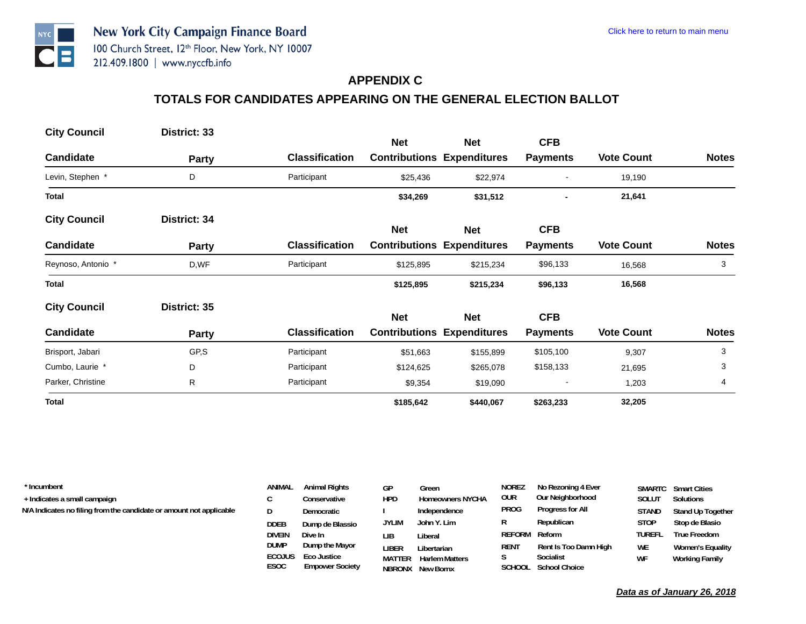## **APPENDIX C**

# **TOTALS FOR CANDIDATES APPEARING ON THE GENERAL ELECTION BALLOT**

| <b>City Council</b> | District: 33 |                       | <b>Net</b> |                                                 | <b>CFB</b>      |                   |              |
|---------------------|--------------|-----------------------|------------|-------------------------------------------------|-----------------|-------------------|--------------|
| Candidate           | Party        | <b>Classification</b> |            | <b>Net</b><br><b>Contributions Expenditures</b> | <b>Payments</b> | <b>Vote Count</b> | <b>Notes</b> |
| Levin, Stephen *    | D            | Participant           | \$25,436   | \$22,974                                        |                 | 19,190            |              |
| <b>Total</b>        |              |                       | \$34,269   | \$31,512                                        |                 | 21,641            |              |
| <b>City Council</b> | District: 34 |                       | <b>Net</b> | <b>Net</b>                                      | <b>CFB</b>      |                   |              |
| <b>Candidate</b>    | <b>Party</b> | <b>Classification</b> |            | <b>Contributions Expenditures</b>               | <b>Payments</b> | <b>Vote Count</b> | <b>Notes</b> |
| Reynoso, Antonio *  | D,WF         | Participant           | \$125,895  | \$215,234                                       | \$96,133        | 16,568            | 3            |
| <b>Total</b>        |              |                       | \$125,895  | \$215,234                                       | \$96,133        | 16,568            |              |
| <b>City Council</b> | District: 35 |                       | <b>Net</b> | <b>Net</b>                                      | <b>CFB</b>      |                   |              |
| <b>Candidate</b>    | <b>Party</b> | <b>Classification</b> |            | <b>Contributions Expenditures</b>               | <b>Payments</b> | <b>Vote Count</b> | <b>Notes</b> |
| Brisport, Jabari    | GP,S         | Participant           | \$51,663   | \$155,899                                       | \$105,100       | 9,307             | 3            |
| Cumbo, Laurie *     | D            | Participant           | \$124,625  | \$265,078                                       | \$158,133       | 21,695            | 3            |
| Parker, Christine   | R            | Participant           | \$9,354    | \$19,090                                        |                 | 1,203             | 4            |
| <b>Total</b>        |              |                       | \$185,642  | \$440,067                                       | \$263,233       | 32,205            |              |

| * Incumbent<br>+ Indicates a small campaign<br>N/A Indicates no filing from the candidate or amount not applicable | <b>ANIMAL</b><br><b>DDEB</b><br><b>DIVEIN</b><br><b>DUMP</b> | <b>Animal Rights</b><br>Conservative<br>Democratic<br>Dump de Blassio<br>Dive In<br>Dump the Mayor | GP<br><b>HPD</b><br><b>JYLIM</b><br>LIB<br><b>LIBER</b> | Green<br><b>Homeowners NYCHA</b><br>Independence<br>John Y. Lim<br>Liberal<br>Libertarian | <b>NOREZ</b><br>our<br><b>PROG</b><br>R<br>REFORM Reform<br>RENT | No Rezoning 4 Ever<br>Our Neighborhood<br>Progress for All<br>Republican<br>Rent Is Too Damn High | SOLUT<br><b>STAND</b><br><b>STOP</b><br><b>TUREFL</b><br><b>WE</b> | <b>SMARTC</b> Smart Cities<br><b>Solutions</b><br>Stand Up Together<br>Stop de Blasio<br><b>True Freedom</b><br><b>Women's Equality</b> |
|--------------------------------------------------------------------------------------------------------------------|--------------------------------------------------------------|----------------------------------------------------------------------------------------------------|---------------------------------------------------------|-------------------------------------------------------------------------------------------|------------------------------------------------------------------|---------------------------------------------------------------------------------------------------|--------------------------------------------------------------------|-----------------------------------------------------------------------------------------------------------------------------------------|
|                                                                                                                    | <b>ECOJUS</b>                                                | Eco Justice                                                                                        | <b>MATTER</b>                                           | <b>Harlem Matters</b>                                                                     |                                                                  | Socialist                                                                                         | <b>WF</b>                                                          | <b>Working Family</b>                                                                                                                   |

**NBRONX New Bornx**

**SCHOOL School Choice**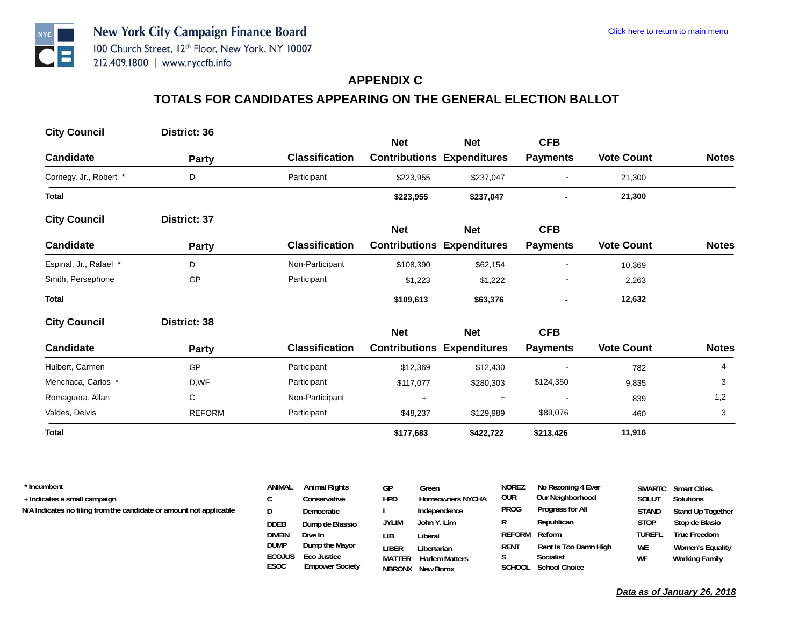#### **APPENDIX C**

# **TOTALS FOR CANDIDATES APPEARING ON THE GENERAL ELECTION BALLOT**

| <b>City Council</b>    | District: 36  |                       |            |                                                 | <b>CFB</b>               |                   |              |
|------------------------|---------------|-----------------------|------------|-------------------------------------------------|--------------------------|-------------------|--------------|
| <b>Candidate</b>       | <b>Party</b>  | <b>Classification</b> | <b>Net</b> | <b>Net</b><br><b>Contributions Expenditures</b> | <b>Payments</b>          | <b>Vote Count</b> | <b>Notes</b> |
| Cornegy, Jr., Robert * | D             | Participant           | \$223,955  | \$237,047                                       |                          | 21,300            |              |
| <b>Total</b>           |               |                       | \$223,955  | \$237,047                                       |                          | 21,300            |              |
| <b>City Council</b>    | District: 37  |                       | <b>Net</b> | <b>Net</b>                                      | <b>CFB</b>               |                   |              |
| <b>Candidate</b>       | <b>Party</b>  | <b>Classification</b> |            | <b>Contributions Expenditures</b>               | <b>Payments</b>          | <b>Vote Count</b> | <b>Notes</b> |
| Espinal, Jr., Rafael * | D             | Non-Participant       | \$108,390  | \$62,154                                        | $\blacksquare$           | 10,369            |              |
| Smith, Persephone      | GP            | Participant           | \$1,223    | \$1,222                                         |                          | 2,263             |              |
| <b>Total</b>           |               |                       | \$109,613  | \$63,376                                        |                          | 12,632            |              |
| <b>City Council</b>    | District: 38  |                       | <b>Net</b> | <b>Net</b>                                      | <b>CFB</b>               |                   |              |
| <b>Candidate</b>       | <b>Party</b>  | <b>Classification</b> |            | <b>Contributions Expenditures</b>               | <b>Payments</b>          | <b>Vote Count</b> | <b>Notes</b> |
| Hulbert, Carmen        | GP            | Participant           | \$12,369   | \$12,430                                        |                          | 782               | 4            |
| Menchaca, Carlos *     | D,WF          | Participant           | \$117,077  | \$280,303                                       | \$124,350                | 9,835             | 3            |
| Romaguera, Allan       | C             | Non-Participant       | $\ddot{}$  | $\ddot{}$                                       | $\overline{\phantom{a}}$ | 839               | 1,2          |
| Valdes, Delvis         | <b>REFORM</b> | Participant           | \$48,237   | \$129,989                                       | \$89,076                 | 460               | 3            |
| <b>Total</b>           |               |                       | \$177,683  | \$422,722                                       | \$213,426                | 11,916            |              |

| * Incumbent                                                         | ANIMAL                | <b>Animal Rights</b> | GP            | Green                   | <b>NOREZ</b> | No Rezoning 4 Ever    |               | <b>SMARTC</b> Smart Cities |
|---------------------------------------------------------------------|-----------------------|----------------------|---------------|-------------------------|--------------|-----------------------|---------------|----------------------------|
| + Indicates a small campaign                                        |                       | Conservative         | <b>HPD</b>    | <b>Homeowners NYCHA</b> | our          | Our Neighborhood      | <b>SOLUT</b>  | Solutions                  |
| N/A Indicates no filing from the candidate or amount not applicable | D                     | Democratic           |               | Independence            | PROG         | Progress for All      | <b>STAND</b>  | Stand Up Together          |
|                                                                     | DDEB                  | Dump de Blassio      | <b>JYLIM</b>  | John Y. Lim             | R            | Republican            | <b>STOP</b>   | Stop de Blasio             |
|                                                                     | DIVEIN                | Dive In              | LІB           | Liberal                 | REFORM       | Reform                | <b>TUREFL</b> | <b>True Freedom</b>        |
|                                                                     | DUMP                  | Dump the Mayor       | liber         | Libertarian             | <b>REN1</b>  | Rent Is Too Damn High | <b>WE</b>     | <b>Women's Equality</b>    |
|                                                                     | <b>ECOJUS</b><br>---- | Eco Justice          | <b>MATTER</b> | <b>Harlem Matters</b>   |              | Socialist             | WF            | <b>Working Family</b>      |

**NBRONX New Bornx**

**SCHOOL School Choice**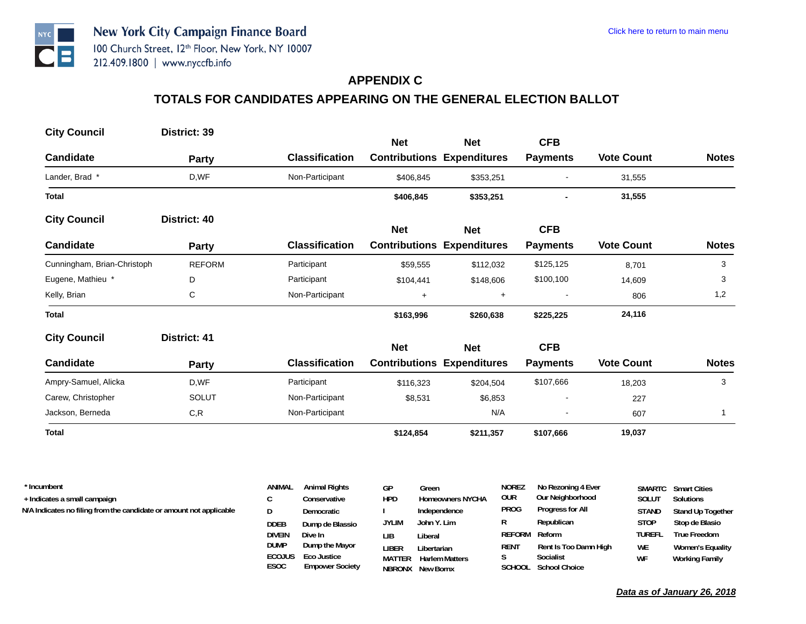#### **APPENDIX C**

# **TOTALS FOR CANDIDATES APPEARING ON THE GENERAL ELECTION BALLOT**

| <b>City Council</b>         | District: 39  |                       | <b>Net</b> | <b>Net</b>                        | <b>CFB</b>               |                   |              |
|-----------------------------|---------------|-----------------------|------------|-----------------------------------|--------------------------|-------------------|--------------|
| <b>Candidate</b>            | Party         | <b>Classification</b> |            | <b>Contributions Expenditures</b> | <b>Payments</b>          | <b>Vote Count</b> | <b>Notes</b> |
| Lander, Brad *              | D,WF          | Non-Participant       | \$406,845  | \$353,251                         |                          | 31,555            |              |
| <b>Total</b>                |               |                       | \$406,845  | \$353,251                         |                          | 31,555            |              |
| <b>City Council</b>         | District: 40  |                       | <b>Net</b> | <b>Net</b>                        | <b>CFB</b>               |                   |              |
| <b>Candidate</b>            | Party         | <b>Classification</b> |            | <b>Contributions Expenditures</b> | <b>Payments</b>          | <b>Vote Count</b> | <b>Notes</b> |
| Cunningham, Brian-Christoph | <b>REFORM</b> | Participant           | \$59,555   | \$112,032                         | \$125,125                | 8,701             | 3            |
| Eugene, Mathieu *           | D             | Participant           | \$104,441  | \$148,606                         | \$100,100                | 14,609            | 3            |
| Kelly, Brian                | С             | Non-Participant       | $\ddot{}$  | $\ddot{}$                         | $\overline{\phantom{a}}$ | 806               | 1,2          |
| <b>Total</b>                |               |                       | \$163,996  | \$260,638                         | \$225,225                | 24,116            |              |
| <b>City Council</b>         | District: 41  |                       | <b>Net</b> | <b>Net</b>                        | <b>CFB</b>               |                   |              |
| <b>Candidate</b>            | <b>Party</b>  | <b>Classification</b> |            | <b>Contributions Expenditures</b> | <b>Payments</b>          | <b>Vote Count</b> | <b>Notes</b> |
| Ampry-Samuel, Alicka        | D,WF          | Participant           | \$116,323  | \$204,504                         | \$107,666                | 18,203            | 3            |
| Carew, Christopher          | <b>SOLUT</b>  | Non-Participant       | \$8,531    | \$6,853                           |                          | 227               |              |
| Jackson, Berneda            | C, R          | Non-Participant       |            | N/A                               |                          | 607               | 1            |
| <b>Total</b>                |               |                       | \$124,854  | \$211,357                         | \$107,666                | 19,037            |              |

| * Incumbent<br>+ Indicates a small campaign<br>N/A Indicates no filing from the candidate or amount not applicable | ANIMAL<br>D<br><b>DDEB</b> | <b>Animal Rights</b><br>Conservative<br>Democratic | GP<br><b>HPD</b><br><b>JYLIM</b> | Green<br><b>Homeowners NYCHA</b><br>Independence<br>John Y. Lim | <b>NOREZ</b><br>our<br>PROG<br>R | No Rezoning 4 Ever<br>Our Neighborhood<br>Progress for All<br>Republican | <b>SOLUT</b><br><b>STAND</b><br><b>STOP</b> | <b>SMARTC</b> Smart Cities<br>Solutions<br>Stand Up Together<br>Stop de Blasio |
|--------------------------------------------------------------------------------------------------------------------|----------------------------|----------------------------------------------------|----------------------------------|-----------------------------------------------------------------|----------------------------------|--------------------------------------------------------------------------|---------------------------------------------|--------------------------------------------------------------------------------|
|                                                                                                                    | DIVEIN<br><b>DUMP</b>      | Dump de Blassio<br>Dive In<br>Dump the Mayor       | LІB<br>liber                     | Liberal<br>Libertarian                                          | REFORM Reform<br><b>RENT</b>     | Rent Is Too Damn High                                                    | <b>TUREFL</b><br><b>WE</b>                  | <b>True Freedom</b><br>Women's Equality                                        |
|                                                                                                                    | <b>ECOJUS</b>              | Eco Justice                                        | <b>MATTER</b>                    | <b>Harlem Matters</b>                                           |                                  | Socialist                                                                | WF                                          | Working Family                                                                 |

**MATTER Harlem Matters NBRONX New Bornx**

**SCHOOL School Choice**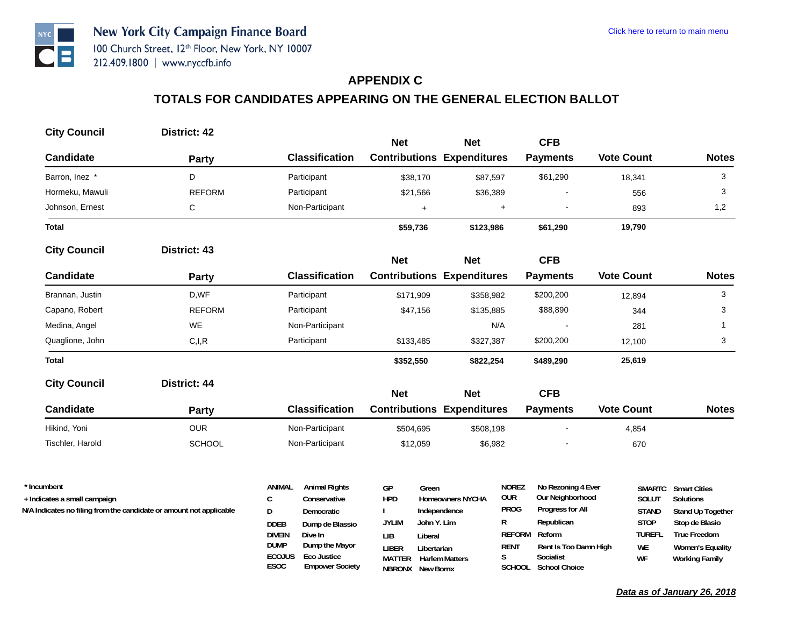## **APPENDIX C**

# **TOTALS FOR CANDIDATES APPEARING ON THE GENERAL ELECTION BALLOT**

| <b>City Council</b>          | District: 42                                                        |                                                 | <b>Net</b>                        | <b>Net</b>                              | <b>CFB</b>                                                           |                       |                                       |
|------------------------------|---------------------------------------------------------------------|-------------------------------------------------|-----------------------------------|-----------------------------------------|----------------------------------------------------------------------|-----------------------|---------------------------------------|
| <b>Candidate</b>             | Party                                                               | <b>Classification</b>                           | <b>Contributions Expenditures</b> |                                         | <b>Payments</b>                                                      | <b>Vote Count</b>     | <b>Notes</b>                          |
| Barron, Inez *               | D                                                                   | Participant                                     | \$38,170                          | \$87,597                                | \$61,290                                                             | 18,341                | 3                                     |
| Hormeku, Mawuli              | <b>REFORM</b>                                                       | Participant                                     | \$21,566                          | \$36,389                                |                                                                      | 556                   | 3                                     |
| Johnson, Ernest              | C                                                                   | Non-Participant                                 | $+$                               | $+$                                     |                                                                      | 893                   | 1,2                                   |
| <b>Total</b>                 |                                                                     |                                                 | \$59,736                          | \$123,986                               | \$61,290                                                             | 19,790                |                                       |
| <b>City Council</b>          | District: 43                                                        |                                                 | <b>Net</b>                        | <b>Net</b>                              | <b>CFB</b>                                                           |                       |                                       |
| <b>Candidate</b>             | <b>Party</b>                                                        | <b>Classification</b>                           | <b>Contributions Expenditures</b> |                                         | <b>Payments</b>                                                      | <b>Vote Count</b>     | <b>Notes</b>                          |
| Brannan, Justin              | D,WF                                                                | Participant                                     | \$171,909                         | \$358,982                               | \$200,200                                                            | 12,894                | 3                                     |
| Capano, Robert               | <b>REFORM</b>                                                       | Participant                                     | \$47,156                          | \$135,885                               | \$88,890                                                             | 344                   | 3                                     |
| Medina, Angel                | <b>WE</b>                                                           | Non-Participant                                 |                                   | N/A                                     |                                                                      | 281                   | 1                                     |
| Quaglione, John              | C, I, R                                                             | Participant                                     | \$133,485                         | \$327,387                               | \$200,200                                                            | 12,100                | 3                                     |
| <b>Total</b>                 |                                                                     |                                                 | \$352,550                         | \$822,254                               | \$489,290                                                            | 25,619                |                                       |
| <b>City Council</b>          | District: 44                                                        |                                                 | <b>Net</b>                        | <b>Net</b>                              | <b>CFB</b>                                                           |                       |                                       |
| <b>Candidate</b>             | <b>Party</b>                                                        | <b>Classification</b>                           | <b>Contributions Expenditures</b> |                                         | <b>Payments</b>                                                      | <b>Vote Count</b>     | <b>Notes</b>                          |
| Hikind, Yoni                 | <b>OUR</b>                                                          | Non-Participant                                 | \$504,695                         | \$508,198                               |                                                                      | 4,854                 |                                       |
| Tischler, Harold             | <b>SCHOOL</b>                                                       | Non-Participant                                 | \$12,059                          | \$6,982                                 |                                                                      | 670                   |                                       |
| * Incumbent                  |                                                                     | <b>ANIMAL</b><br><b>Animal Rights</b>           | GP<br>Green                       |                                         | <b>NOREZ</b><br>No Rezoning 4 Ever<br><b>OUR</b><br>Our Neighborhood | <b>SMARTC</b>         | <b>Smart Cities</b>                   |
| + Indicates a small campaign | N/A Indicates no filing from the candidate or amount not applicable | $\mathsf{C}$<br>Conservative<br>D<br>Democratic | <b>HPD</b>                        | <b>Homeowners NYCHA</b><br>Independence | <b>PROG</b><br>Progress for All                                      | SOLUT<br><b>STAND</b> | <b>Solutions</b><br>Stand Up Together |
|                              |                                                                     | <b>DDEB</b><br>Dump de Blassio                  | John Y. Lim<br><b>JYLIM</b>       | R                                       | Republican                                                           | <b>STOP</b>           | Stop de Blasio                        |
|                              |                                                                     | <b>DIVEIN</b><br>Dive In                        | <b>LIB</b><br>Liberal             |                                         | <b>REFORM</b><br>Reform                                              | <b>TUREFL</b>         | <b>True Freedom</b>                   |

**LIBER Libertarian MATTER Harlem MattersNBRONX New Bornx**

**S Socialist SCHOOL School Choice**

**RENT** Rent Is Too Damn High<br>S Socialist

**ESOC Empower Society ECOJUS Eco Justice**

**DUMP Dump the Mayor** 

*Data as of January 26, 2018*

**WE Women's Equality WF Working Family**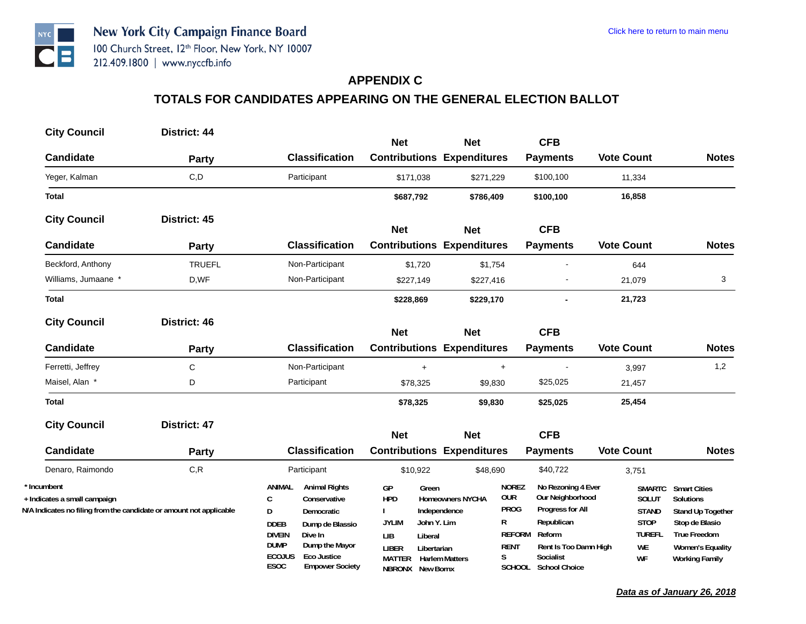#### **APPENDIX C**

| <b>City Council</b>                                                                                                | District: 44        |                                                                                                                                                                                                                                                           | <b>Net</b>                                                                                                                                            | <b>Net</b>                                                       |                                                                                     | <b>CFB</b>                                                                                                                                       |                                                                                    |                                                                                                                                                    |
|--------------------------------------------------------------------------------------------------------------------|---------------------|-----------------------------------------------------------------------------------------------------------------------------------------------------------------------------------------------------------------------------------------------------------|-------------------------------------------------------------------------------------------------------------------------------------------------------|------------------------------------------------------------------|-------------------------------------------------------------------------------------|--------------------------------------------------------------------------------------------------------------------------------------------------|------------------------------------------------------------------------------------|----------------------------------------------------------------------------------------------------------------------------------------------------|
| <b>Candidate</b>                                                                                                   | <b>Party</b>        | <b>Classification</b>                                                                                                                                                                                                                                     | <b>Contributions Expenditures</b>                                                                                                                     |                                                                  |                                                                                     | <b>Payments</b>                                                                                                                                  | <b>Vote Count</b>                                                                  | <b>Notes</b>                                                                                                                                       |
| Yeger, Kalman                                                                                                      | C, D                | Participant                                                                                                                                                                                                                                               | \$171,038                                                                                                                                             | \$271,229                                                        |                                                                                     | \$100,100                                                                                                                                        | 11,334                                                                             |                                                                                                                                                    |
| <b>Total</b>                                                                                                       |                     |                                                                                                                                                                                                                                                           | \$687,792                                                                                                                                             | \$786,409                                                        |                                                                                     | \$100,100                                                                                                                                        | 16,858                                                                             |                                                                                                                                                    |
| <b>City Council</b>                                                                                                | District: 45        |                                                                                                                                                                                                                                                           | <b>Net</b>                                                                                                                                            | <b>Net</b>                                                       |                                                                                     | <b>CFB</b>                                                                                                                                       |                                                                                    |                                                                                                                                                    |
| <b>Candidate</b>                                                                                                   | <b>Party</b>        | <b>Classification</b>                                                                                                                                                                                                                                     | <b>Contributions Expenditures</b>                                                                                                                     |                                                                  |                                                                                     | <b>Payments</b>                                                                                                                                  | <b>Vote Count</b>                                                                  | <b>Notes</b>                                                                                                                                       |
| Beckford, Anthony                                                                                                  | <b>TRUEFL</b>       | Non-Participant                                                                                                                                                                                                                                           | \$1,720                                                                                                                                               | \$1,754                                                          |                                                                                     |                                                                                                                                                  | 644                                                                                |                                                                                                                                                    |
| Williams, Jumaane *                                                                                                | D,WF                | Non-Participant                                                                                                                                                                                                                                           | \$227,149                                                                                                                                             | \$227,416                                                        |                                                                                     |                                                                                                                                                  | 21,079                                                                             | 3                                                                                                                                                  |
| <b>Total</b>                                                                                                       |                     |                                                                                                                                                                                                                                                           | \$228,869                                                                                                                                             | \$229,170                                                        |                                                                                     |                                                                                                                                                  | 21,723                                                                             |                                                                                                                                                    |
| <b>City Council</b>                                                                                                | District: 46        |                                                                                                                                                                                                                                                           | <b>Net</b>                                                                                                                                            | <b>Net</b>                                                       |                                                                                     | <b>CFB</b>                                                                                                                                       |                                                                                    |                                                                                                                                                    |
| <b>Candidate</b>                                                                                                   | Party               | <b>Classification</b>                                                                                                                                                                                                                                     | <b>Contributions Expenditures</b>                                                                                                                     |                                                                  |                                                                                     | <b>Payments</b>                                                                                                                                  | <b>Vote Count</b>                                                                  | <b>Notes</b>                                                                                                                                       |
| Ferretti, Jeffrey                                                                                                  | $\mathsf C$         | Non-Participant                                                                                                                                                                                                                                           | $+$                                                                                                                                                   |                                                                  | $+$                                                                                 |                                                                                                                                                  | 3,997                                                                              | 1,2                                                                                                                                                |
| Maisel, Alan *                                                                                                     | D                   | Participant                                                                                                                                                                                                                                               | \$78,325                                                                                                                                              | \$9,830                                                          |                                                                                     | \$25,025                                                                                                                                         | 21,457                                                                             |                                                                                                                                                    |
| <b>Total</b>                                                                                                       |                     |                                                                                                                                                                                                                                                           | \$78,325                                                                                                                                              | \$9,830                                                          |                                                                                     | \$25,025                                                                                                                                         | 25,454                                                                             |                                                                                                                                                    |
| <b>City Council</b>                                                                                                | <b>District: 47</b> |                                                                                                                                                                                                                                                           | <b>Net</b>                                                                                                                                            | <b>Net</b>                                                       |                                                                                     | <b>CFB</b>                                                                                                                                       |                                                                                    |                                                                                                                                                    |
| <b>Candidate</b>                                                                                                   | <b>Party</b>        | <b>Classification</b>                                                                                                                                                                                                                                     | <b>Contributions Expenditures</b>                                                                                                                     |                                                                  |                                                                                     | <b>Payments</b>                                                                                                                                  | <b>Vote Count</b>                                                                  | <b>Notes</b>                                                                                                                                       |
| Denaro, Raimondo                                                                                                   | C, R                | Participant                                                                                                                                                                                                                                               | \$10,922                                                                                                                                              | \$48,690                                                         |                                                                                     | \$40,722                                                                                                                                         | 3,751                                                                              |                                                                                                                                                    |
| * Incumbent<br>+ Indicates a small campaign<br>N/A Indicates no filing from the candidate or amount not applicable |                     | <b>Animal Rights</b><br>ANIMAL<br>$\mathsf{C}$<br>Conservative<br>D<br>Democratic<br><b>DDEB</b><br>Dump de Blassio<br><b>DIVEIN</b><br>Dive In<br><b>DUMP</b><br>Dump the Mayor<br><b>ECOJUS</b><br>Eco Justice<br><b>ESOC</b><br><b>Empower Society</b> | GP<br>Green<br><b>HPD</b><br><b>JYLIM</b><br>John Y. Lim<br>LIB<br>Liberal<br><b>LIBER</b><br>Libertarian<br><b>MATTER</b><br><b>NBRONX</b> New Bornx | <b>Homeowners NYCHA</b><br>Independence<br><b>Harlem Matters</b> | <b>NOREZ</b><br><b>OUR</b><br><b>PROG</b><br>R<br><b>REFORM</b><br><b>RENT</b><br>S | No Rezoning 4 Ever<br>Our Neighborhood<br>Progress for All<br>Republican<br>Reform<br>Rent Is Too Damn High<br>Socialist<br>SCHOOL School Choice | <b>SMARTC</b><br>SOLUT<br><b>STAND</b><br><b>STOP</b><br><b>TUREFL</b><br>WE<br>WF | <b>Smart Cities</b><br>Solutions<br>Stand Up Together<br>Stop de Blasio<br><b>True Freedom</b><br><b>Women's Equality</b><br><b>Working Family</b> |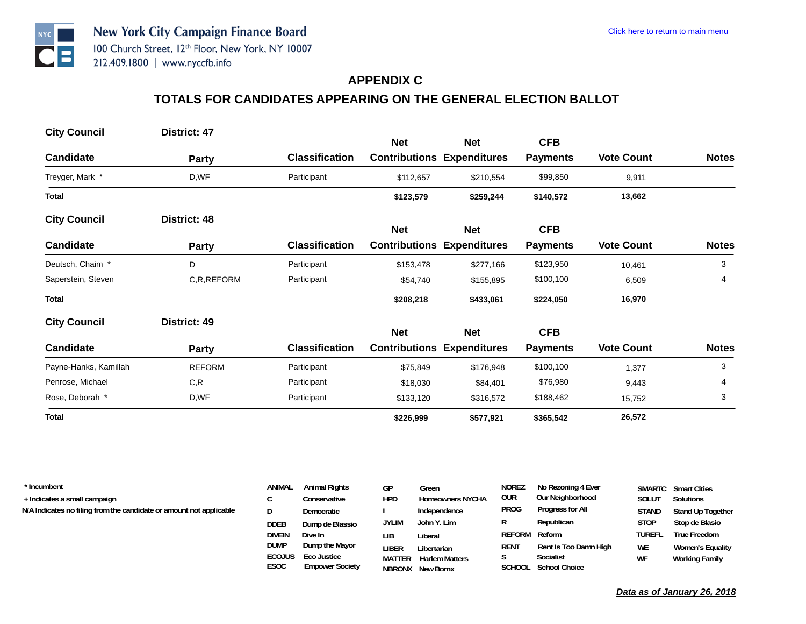#### **APPENDIX C**

# **TOTALS FOR CANDIDATES APPEARING ON THE GENERAL ELECTION BALLOT**

| <b>City Council</b>   | District: 47  |                       |            |                                                 | <b>CFB</b>      |                   |              |
|-----------------------|---------------|-----------------------|------------|-------------------------------------------------|-----------------|-------------------|--------------|
| <b>Candidate</b>      | Party         | <b>Classification</b> | <b>Net</b> | <b>Net</b><br><b>Contributions Expenditures</b> | <b>Payments</b> | <b>Vote Count</b> | <b>Notes</b> |
| Treyger, Mark *       | D,WF          | Participant           | \$112,657  | \$210,554                                       | \$99,850        | 9,911             |              |
| <b>Total</b>          |               |                       | \$123,579  | \$259,244                                       | \$140,572       | 13,662            |              |
| <b>City Council</b>   | District: 48  |                       | <b>Net</b> | Net                                             | <b>CFB</b>      |                   |              |
| <b>Candidate</b>      | Party         | <b>Classification</b> |            | <b>Contributions Expenditures</b>               | <b>Payments</b> | <b>Vote Count</b> | <b>Notes</b> |
| Deutsch, Chaim *      | D             | Participant           | \$153,478  | \$277,166                                       | \$123,950       | 10,461            | 3            |
| Saperstein, Steven    | C,R,REFORM    | Participant           | \$54,740   | \$155,895                                       | \$100,100       | 6,509             | 4            |
| <b>Total</b>          |               |                       | \$208,218  | \$433,061                                       | \$224,050       | 16,970            |              |
| <b>City Council</b>   | District: 49  |                       | <b>Net</b> | <b>Net</b>                                      | <b>CFB</b>      |                   |              |
| <b>Candidate</b>      | Party         | <b>Classification</b> |            | <b>Contributions Expenditures</b>               | <b>Payments</b> | <b>Vote Count</b> | <b>Notes</b> |
| Payne-Hanks, Kamillah | <b>REFORM</b> | Participant           | \$75,849   | \$176,948                                       | \$100,100       | 1,377             | 3            |
| Penrose, Michael      | C,R           | Participant           | \$18,030   | \$84,401                                        | \$76,980        | 9,443             | 4            |
| Rose, Deborah *       | D,WF          | Participant           | \$133,120  | \$316,572                                       | \$188,462       | 15,752            | 3            |
| <b>Total</b>          |               |                       | \$226,999  | \$577,921                                       | \$365,542       | 26,572            |              |

| * Incumbent                                                         | ANIMAL                | <b>Animal Rights</b>                  | GР           | Green                                            | <b>NOREZ</b>  | No Rezoning 4 Ever                |               | <b>SMARTC</b> Smart Cities |
|---------------------------------------------------------------------|-----------------------|---------------------------------------|--------------|--------------------------------------------------|---------------|-----------------------------------|---------------|----------------------------|
| + Indicates a small campaign                                        |                       | Conservative                          | <b>HPD</b>   | <b>Homeowners NYCHA</b>                          | <b>OUR</b>    | Our Neighborhood                  | Solut         | Solutions                  |
| N/A Indicates no filing from the candidate or amount not applicable |                       | Democratic                            |              | Independence                                     | PROG          | Progress for All                  | <b>STAND</b>  | Stand Up Together          |
|                                                                     | DDEB                  | Dump de Blassio                       | <b>JYLIM</b> | John Y. Lim                                      | R             | Republican                        | <b>STOP</b>   | Stop de Blasio             |
|                                                                     | DIVEIN                | Dive In                               | LΙB          | Liberal                                          | REFORM Reform |                                   | <b>TUREFL</b> | True Freedom               |
|                                                                     | <b>DUMP</b>           | Dump the Mayor                        | '.IBER       | Libertarian                                      | RENT          | Rent Is Too Damn High             | <b>WE</b>     | Women's Equality           |
|                                                                     | <b>ECOJUS</b><br>ESOC | Eco Justice<br><b>Empower Society</b> | MATTER       | <b>Harlem Matters</b><br><b>NRRONX</b> New Rorny |               | Socialist<br>SCHOOL School Choice | WF            | Working Family             |

**NBRONX New Bornx**

**SCHOOL School Choice**